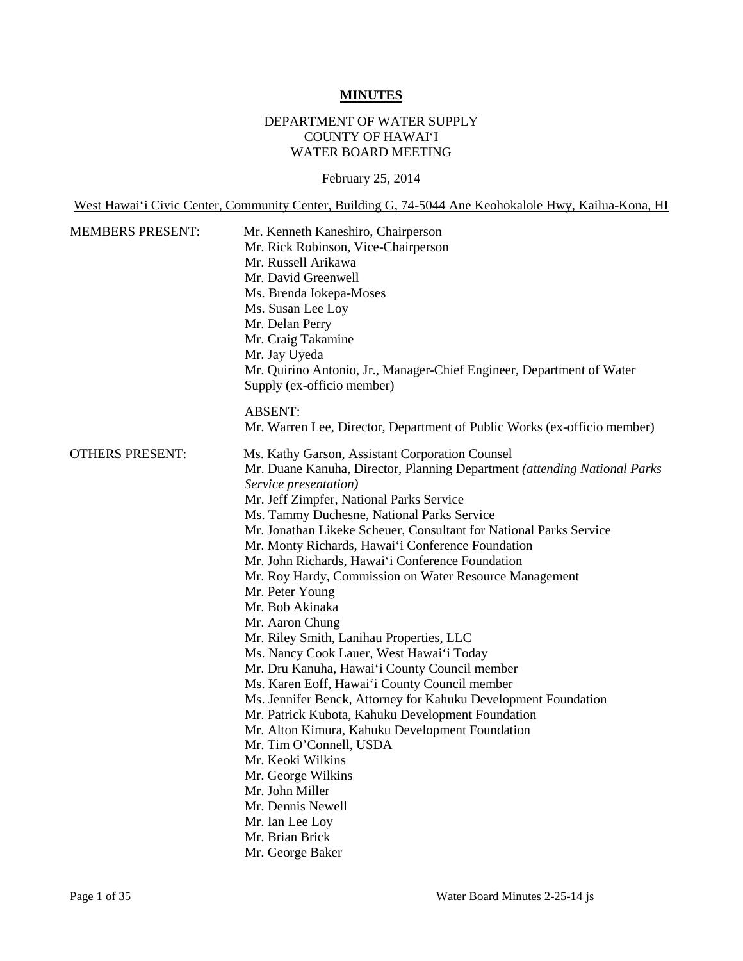# **MINUTES**

# DEPARTMENT OF WATER SUPPLY COUNTY OF HAWAI'I WATER BOARD MEETING

February 25, 2014

West Hawai'i Civic Center, Community Center, Building G, 74-5044 Ane Keohokalole Hwy, Kailua-Kona, HI

| <b>MEMBERS PRESENT:</b> | Mr. Kenneth Kaneshiro, Chairperson<br>Mr. Rick Robinson, Vice-Chairperson<br>Mr. Russell Arikawa<br>Mr. David Greenwell<br>Ms. Brenda Iokepa-Moses<br>Ms. Susan Lee Loy<br>Mr. Delan Perry<br>Mr. Craig Takamine<br>Mr. Jay Uyeda<br>Mr. Quirino Antonio, Jr., Manager-Chief Engineer, Department of Water<br>Supply (ex-officio member)                                                                                                                                                                                                                                                                                                                                                                                                                                                                                                                                                                                                                                                                                                               |
|-------------------------|--------------------------------------------------------------------------------------------------------------------------------------------------------------------------------------------------------------------------------------------------------------------------------------------------------------------------------------------------------------------------------------------------------------------------------------------------------------------------------------------------------------------------------------------------------------------------------------------------------------------------------------------------------------------------------------------------------------------------------------------------------------------------------------------------------------------------------------------------------------------------------------------------------------------------------------------------------------------------------------------------------------------------------------------------------|
|                         | <b>ABSENT:</b><br>Mr. Warren Lee, Director, Department of Public Works (ex-officio member)                                                                                                                                                                                                                                                                                                                                                                                                                                                                                                                                                                                                                                                                                                                                                                                                                                                                                                                                                             |
| <b>OTHERS PRESENT:</b>  | Ms. Kathy Garson, Assistant Corporation Counsel<br>Mr. Duane Kanuha, Director, Planning Department (attending National Parks<br>Service presentation)<br>Mr. Jeff Zimpfer, National Parks Service<br>Ms. Tammy Duchesne, National Parks Service<br>Mr. Jonathan Likeke Scheuer, Consultant for National Parks Service<br>Mr. Monty Richards, Hawai'i Conference Foundation<br>Mr. John Richards, Hawai'i Conference Foundation<br>Mr. Roy Hardy, Commission on Water Resource Management<br>Mr. Peter Young<br>Mr. Bob Akinaka<br>Mr. Aaron Chung<br>Mr. Riley Smith, Lanihau Properties, LLC<br>Ms. Nancy Cook Lauer, West Hawai'i Today<br>Mr. Dru Kanuha, Hawai'i County Council member<br>Ms. Karen Eoff, Hawai'i County Council member<br>Ms. Jennifer Benck, Attorney for Kahuku Development Foundation<br>Mr. Patrick Kubota, Kahuku Development Foundation<br>Mr. Alton Kimura, Kahuku Development Foundation<br>Mr. Tim O'Connell, USDA<br>Mr. Keoki Wilkins<br>Mr. George Wilkins<br>Mr. John Miller<br>Mr. Dennis Newell<br>Mr. Ian Lee Loy |
|                         | Mr. Brian Brick<br>Mr. George Baker                                                                                                                                                                                                                                                                                                                                                                                                                                                                                                                                                                                                                                                                                                                                                                                                                                                                                                                                                                                                                    |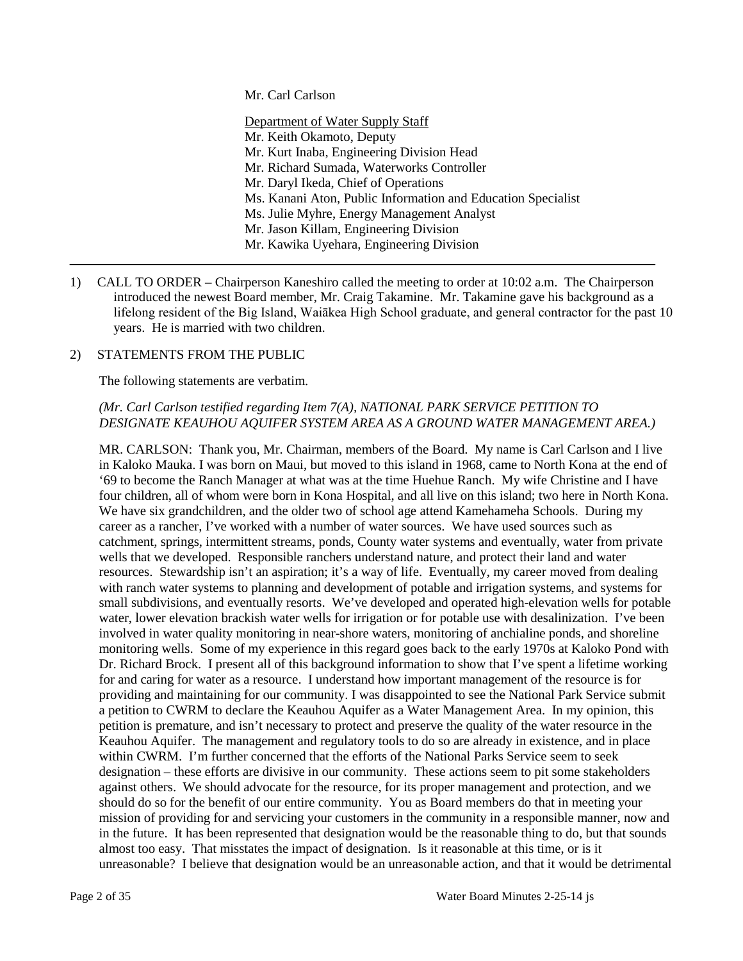Mr. Carl Carlson

Department of Water Supply Staff Mr. Keith Okamoto, Deputy Mr. Kurt Inaba, Engineering Division Head Mr. Richard Sumada, Waterworks Controller Mr. Daryl Ikeda, Chief of Operations Ms. Kanani Aton, Public Information and Education Specialist Ms. Julie Myhre, Energy Management Analyst Mr. Jason Killam, Engineering Division Mr. Kawika Uyehara, Engineering Division

1) CALL TO ORDER – Chairperson Kaneshiro called the meeting to order at 10:02 a.m. The Chairperson introduced the newest Board member, Mr. Craig Takamine. Mr. Takamine gave his background as a lifelong resident of the Big Island, Waiākea High School graduate, and general contractor for the past 10 years. He is married with two children.

#### 2) STATEMENTS FROM THE PUBLIC

The following statements are verbatim.

### *(Mr. Carl Carlson testified regarding Item 7(A), NATIONAL PARK SERVICE PETITION TO DESIGNATE KEAUHOU AQUIFER SYSTEM AREA AS A GROUND WATER MANAGEMENT AREA.)*

MR. CARLSON: Thank you, Mr. Chairman, members of the Board. My name is Carl Carlson and I live in Kaloko Mauka. I was born on Maui, but moved to this island in 1968, came to North Kona at the end of '69 to become the Ranch Manager at what was at the time Huehue Ranch. My wife Christine and I have four children, all of whom were born in Kona Hospital, and all live on this island; two here in North Kona. We have six grandchildren, and the older two of school age attend Kamehameha Schools. During my career as a rancher, I've worked with a number of water sources. We have used sources such as catchment, springs, intermittent streams, ponds, County water systems and eventually, water from private wells that we developed. Responsible ranchers understand nature, and protect their land and water resources. Stewardship isn't an aspiration; it's a way of life. Eventually, my career moved from dealing with ranch water systems to planning and development of potable and irrigation systems, and systems for small subdivisions, and eventually resorts. We've developed and operated high-elevation wells for potable water, lower elevation brackish water wells for irrigation or for potable use with desalinization. I've been involved in water quality monitoring in near-shore waters, monitoring of anchialine ponds, and shoreline monitoring wells. Some of my experience in this regard goes back to the early 1970s at Kaloko Pond with Dr. Richard Brock. I present all of this background information to show that I've spent a lifetime working for and caring for water as a resource. I understand how important management of the resource is for providing and maintaining for our community. I was disappointed to see the National Park Service submit a petition to CWRM to declare the Keauhou Aquifer as a Water Management Area. In my opinion, this petition is premature, and isn't necessary to protect and preserve the quality of the water resource in the Keauhou Aquifer. The management and regulatory tools to do so are already in existence, and in place within CWRM. I'm further concerned that the efforts of the National Parks Service seem to seek designation – these efforts are divisive in our community. These actions seem to pit some stakeholders against others. We should advocate for the resource, for its proper management and protection, and we should do so for the benefit of our entire community. You as Board members do that in meeting your mission of providing for and servicing your customers in the community in a responsible manner, now and in the future. It has been represented that designation would be the reasonable thing to do, but that sounds almost too easy. That misstates the impact of designation. Is it reasonable at this time, or is it unreasonable? I believe that designation would be an unreasonable action, and that it would be detrimental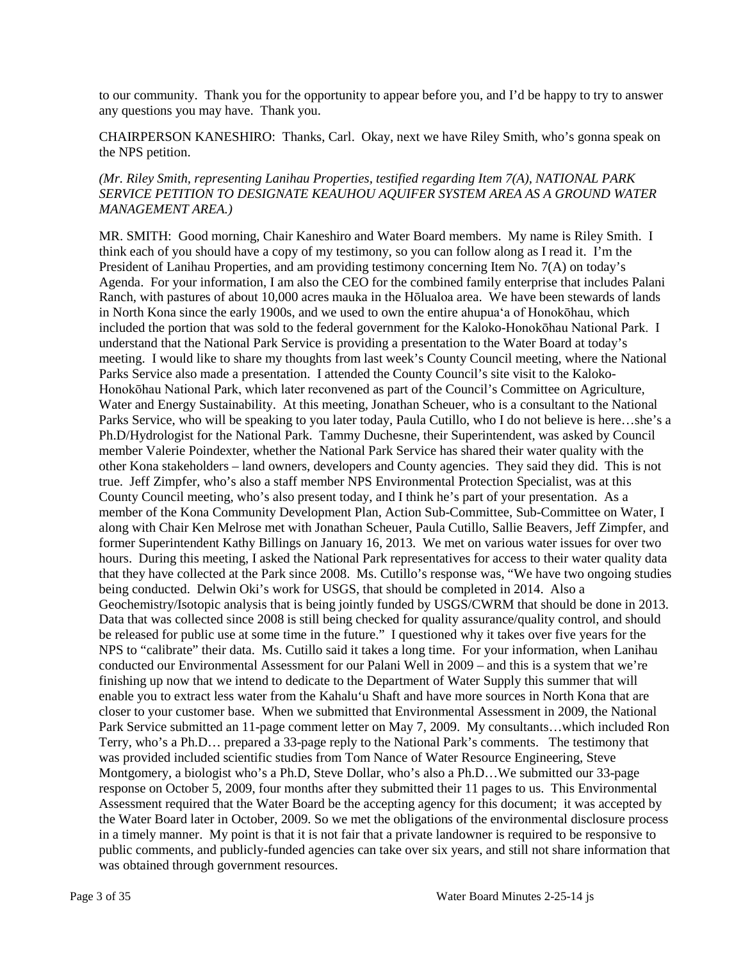to our community. Thank you for the opportunity to appear before you, and I'd be happy to try to answer any questions you may have. Thank you.

CHAIRPERSON KANESHIRO: Thanks, Carl. Okay, next we have Riley Smith, who's gonna speak on the NPS petition.

### *(Mr. Riley Smith, representing Lanihau Properties, testified regarding Item 7(A), NATIONAL PARK SERVICE PETITION TO DESIGNATE KEAUHOU AQUIFER SYSTEM AREA AS A GROUND WATER MANAGEMENT AREA.)*

MR. SMITH: Good morning, Chair Kaneshiro and Water Board members. My name is Riley Smith. I think each of you should have a copy of my testimony, so you can follow along as I read it. I'm the President of Lanihau Properties, and am providing testimony concerning Item No. 7(A) on today's Agenda. For your information, I am also the CEO for the combined family enterprise that includes Palani Ranch, with pastures of about 10,000 acres mauka in the Hōlualoa area. We have been stewards of lands in North Kona since the early 1900s, and we used to own the entire ahupua'a of Honokōhau, which included the portion that was sold to the federal government for the Kaloko-Honokōhau National Park. I understand that the National Park Service is providing a presentation to the Water Board at today's meeting. I would like to share my thoughts from last week's County Council meeting, where the National Parks Service also made a presentation. I attended the County Council's site visit to the Kaloko-Honokōhau National Park, which later reconvened as part of the Council's Committee on Agriculture, Water and Energy Sustainability. At this meeting, Jonathan Scheuer, who is a consultant to the National Parks Service, who will be speaking to you later today, Paula Cutillo, who I do not believe is here…she's a Ph.D/Hydrologist for the National Park. Tammy Duchesne, their Superintendent, was asked by Council member Valerie Poindexter, whether the National Park Service has shared their water quality with the other Kona stakeholders – land owners, developers and County agencies. They said they did. This is not true. Jeff Zimpfer, who's also a staff member NPS Environmental Protection Specialist, was at this County Council meeting, who's also present today, and I think he's part of your presentation. As a member of the Kona Community Development Plan, Action Sub-Committee, Sub-Committee on Water, I along with Chair Ken Melrose met with Jonathan Scheuer, Paula Cutillo, Sallie Beavers, Jeff Zimpfer, and former Superintendent Kathy Billings on January 16, 2013. We met on various water issues for over two hours. During this meeting, I asked the National Park representatives for access to their water quality data that they have collected at the Park since 2008. Ms. Cutillo's response was, "We have two ongoing studies being conducted. Delwin Oki's work for USGS, that should be completed in 2014. Also a Geochemistry/Isotopic analysis that is being jointly funded by USGS/CWRM that should be done in 2013. Data that was collected since 2008 is still being checked for quality assurance/quality control, and should be released for public use at some time in the future." I questioned why it takes over five years for the NPS to "calibrate" their data. Ms. Cutillo said it takes a long time. For your information, when Lanihau conducted our Environmental Assessment for our Palani Well in 2009 – and this is a system that we're finishing up now that we intend to dedicate to the Department of Water Supply this summer that will enable you to extract less water from the Kahalu'u Shaft and have more sources in North Kona that are closer to your customer base. When we submitted that Environmental Assessment in 2009, the National Park Service submitted an 11-page comment letter on May 7, 2009. My consultants…which included Ron Terry, who's a Ph.D… prepared a 33-page reply to the National Park's comments. The testimony that was provided included scientific studies from Tom Nance of Water Resource Engineering, Steve Montgomery, a biologist who's a Ph.D, Steve Dollar, who's also a Ph.D…We submitted our 33-page response on October 5, 2009, four months after they submitted their 11 pages to us. This Environmental Assessment required that the Water Board be the accepting agency for this document; it was accepted by the Water Board later in October, 2009. So we met the obligations of the environmental disclosure process in a timely manner. My point is that it is not fair that a private landowner is required to be responsive to public comments, and publicly-funded agencies can take over six years, and still not share information that was obtained through government resources.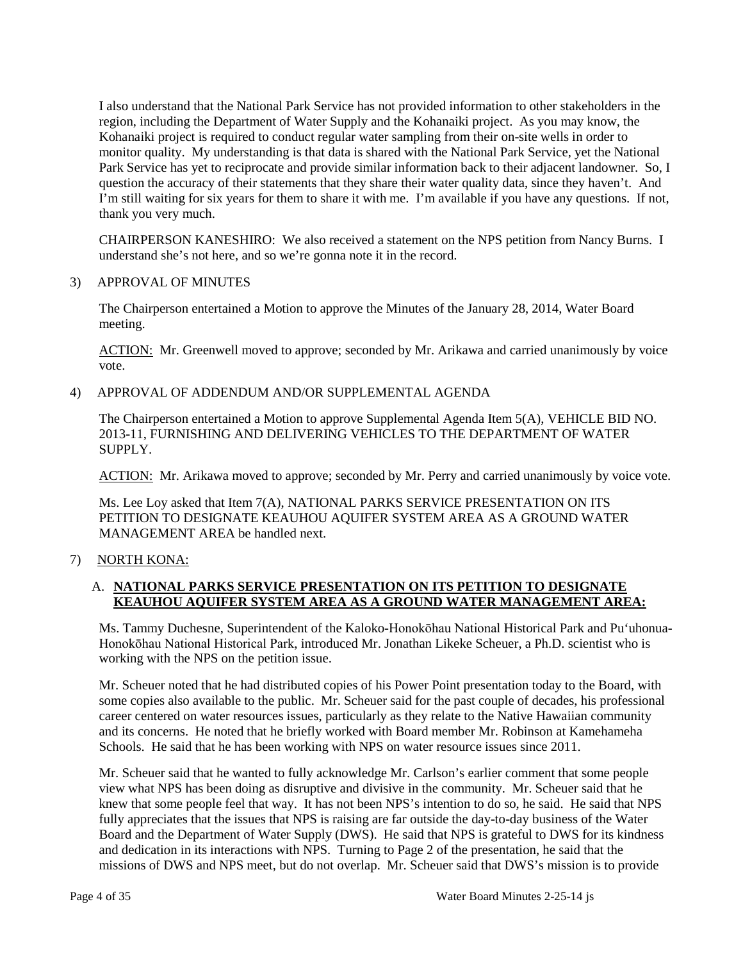I also understand that the National Park Service has not provided information to other stakeholders in the region, including the Department of Water Supply and the Kohanaiki project. As you may know, the Kohanaiki project is required to conduct regular water sampling from their on-site wells in order to monitor quality. My understanding is that data is shared with the National Park Service, yet the National Park Service has yet to reciprocate and provide similar information back to their adjacent landowner. So, I question the accuracy of their statements that they share their water quality data, since they haven't. And I'm still waiting for six years for them to share it with me. I'm available if you have any questions. If not, thank you very much.

CHAIRPERSON KANESHIRO: We also received a statement on the NPS petition from Nancy Burns. I understand she's not here, and so we're gonna note it in the record.

#### 3) APPROVAL OF MINUTES

The Chairperson entertained a Motion to approve the Minutes of the January 28, 2014, Water Board meeting.

ACTION: Mr. Greenwell moved to approve; seconded by Mr. Arikawa and carried unanimously by voice vote.

4) APPROVAL OF ADDENDUM AND/OR SUPPLEMENTAL AGENDA

The Chairperson entertained a Motion to approve Supplemental Agenda Item 5(A), VEHICLE BID NO. 2013-11, FURNISHING AND DELIVERING VEHICLES TO THE DEPARTMENT OF WATER SUPPLY.

ACTION: Mr. Arikawa moved to approve; seconded by Mr. Perry and carried unanimously by voice vote.

Ms. Lee Loy asked that Item 7(A), NATIONAL PARKS SERVICE PRESENTATION ON ITS PETITION TO DESIGNATE KEAUHOU AQUIFER SYSTEM AREA AS A GROUND WATER MANAGEMENT AREA be handled next.

7) NORTH KONA:

### A. **NATIONAL PARKS SERVICE PRESENTATION ON ITS PETITION TO DESIGNATE KEAUHOU AQUIFER SYSTEM AREA AS A GROUND WATER MANAGEMENT AREA:**

Ms. Tammy Duchesne, Superintendent of the Kaloko-Honokōhau National Historical Park and Pu'uhonua-Honokōhau National Historical Park, introduced Mr. Jonathan Likeke Scheuer, a Ph.D. scientist who is working with the NPS on the petition issue.

Mr. Scheuer noted that he had distributed copies of his Power Point presentation today to the Board, with some copies also available to the public. Mr. Scheuer said for the past couple of decades, his professional career centered on water resources issues, particularly as they relate to the Native Hawaiian community and its concerns. He noted that he briefly worked with Board member Mr. Robinson at Kamehameha Schools. He said that he has been working with NPS on water resource issues since 2011.

Mr. Scheuer said that he wanted to fully acknowledge Mr. Carlson's earlier comment that some people view what NPS has been doing as disruptive and divisive in the community. Mr. Scheuer said that he knew that some people feel that way. It has not been NPS's intention to do so, he said. He said that NPS fully appreciates that the issues that NPS is raising are far outside the day-to-day business of the Water Board and the Department of Water Supply (DWS). He said that NPS is grateful to DWS for its kindness and dedication in its interactions with NPS. Turning to Page 2 of the presentation, he said that the missions of DWS and NPS meet, but do not overlap. Mr. Scheuer said that DWS's mission is to provide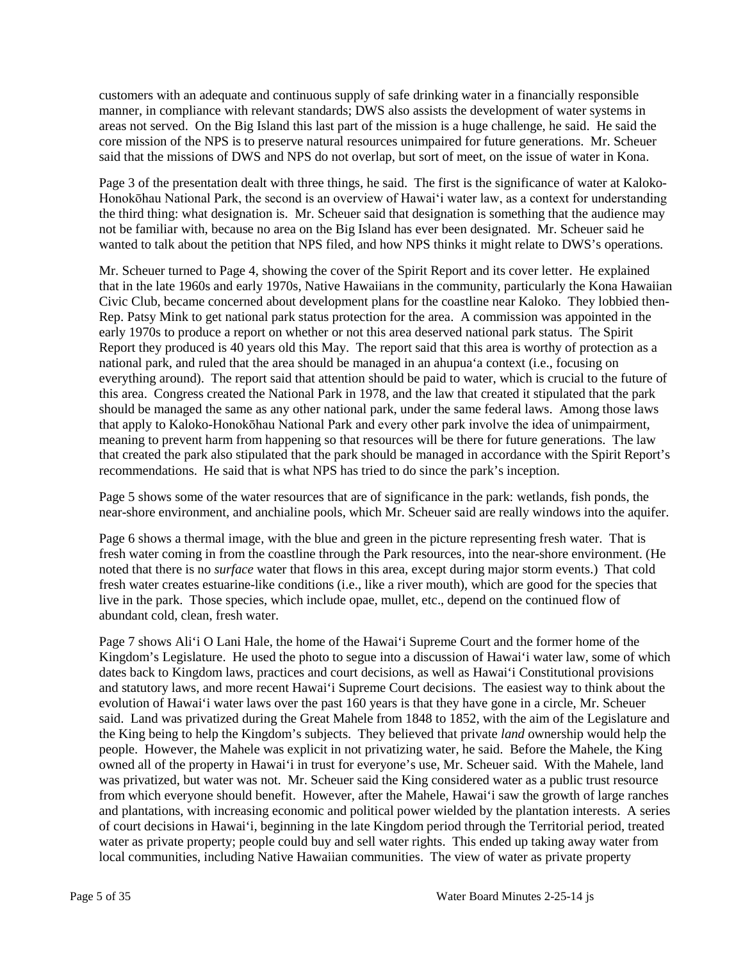customers with an adequate and continuous supply of safe drinking water in a financially responsible manner, in compliance with relevant standards; DWS also assists the development of water systems in areas not served. On the Big Island this last part of the mission is a huge challenge, he said. He said the core mission of the NPS is to preserve natural resources unimpaired for future generations. Mr. Scheuer said that the missions of DWS and NPS do not overlap, but sort of meet, on the issue of water in Kona.

Page 3 of the presentation dealt with three things, he said. The first is the significance of water at Kaloko-Honokōhau National Park, the second is an overview of Hawai'i water law, as a context for understanding the third thing: what designation is. Mr. Scheuer said that designation is something that the audience may not be familiar with, because no area on the Big Island has ever been designated. Mr. Scheuer said he wanted to talk about the petition that NPS filed, and how NPS thinks it might relate to DWS's operations.

Mr. Scheuer turned to Page 4, showing the cover of the Spirit Report and its cover letter. He explained that in the late 1960s and early 1970s, Native Hawaiians in the community, particularly the Kona Hawaiian Civic Club, became concerned about development plans for the coastline near Kaloko. They lobbied then-Rep. Patsy Mink to get national park status protection for the area. A commission was appointed in the early 1970s to produce a report on whether or not this area deserved national park status. The Spirit Report they produced is 40 years old this May. The report said that this area is worthy of protection as a national park, and ruled that the area should be managed in an ahupua'a context (i.e., focusing on everything around). The report said that attention should be paid to water, which is crucial to the future of this area. Congress created the National Park in 1978, and the law that created it stipulated that the park should be managed the same as any other national park, under the same federal laws. Among those laws that apply to Kaloko-Honokōhau National Park and every other park involve the idea of unimpairment, meaning to prevent harm from happening so that resources will be there for future generations. The law that created the park also stipulated that the park should be managed in accordance with the Spirit Report's recommendations. He said that is what NPS has tried to do since the park's inception.

Page 5 shows some of the water resources that are of significance in the park: wetlands, fish ponds, the near-shore environment, and anchialine pools, which Mr. Scheuer said are really windows into the aquifer.

Page 6 shows a thermal image, with the blue and green in the picture representing fresh water. That is fresh water coming in from the coastline through the Park resources, into the near-shore environment. (He noted that there is no *surface* water that flows in this area, except during major storm events.) That cold fresh water creates estuarine-like conditions (i.e., like a river mouth), which are good for the species that live in the park. Those species, which include opae, mullet, etc., depend on the continued flow of abundant cold, clean, fresh water.

Page 7 shows Ali'i O Lani Hale, the home of the Hawai'i Supreme Court and the former home of the Kingdom's Legislature. He used the photo to segue into a discussion of Hawai'i water law, some of which dates back to Kingdom laws, practices and court decisions, as well as Hawai'i Constitutional provisions and statutory laws, and more recent Hawai'i Supreme Court decisions. The easiest way to think about the evolution of Hawai'i water laws over the past 160 years is that they have gone in a circle, Mr. Scheuer said. Land was privatized during the Great Mahele from 1848 to 1852, with the aim of the Legislature and the King being to help the Kingdom's subjects. They believed that private *land* ownership would help the people. However, the Mahele was explicit in not privatizing water, he said. Before the Mahele, the King owned all of the property in Hawai'i in trust for everyone's use, Mr. Scheuer said. With the Mahele, land was privatized, but water was not. Mr. Scheuer said the King considered water as a public trust resource from which everyone should benefit. However, after the Mahele, Hawai'i saw the growth of large ranches and plantations, with increasing economic and political power wielded by the plantation interests. A series of court decisions in Hawai'i, beginning in the late Kingdom period through the Territorial period, treated water as private property; people could buy and sell water rights. This ended up taking away water from local communities, including Native Hawaiian communities. The view of water as private property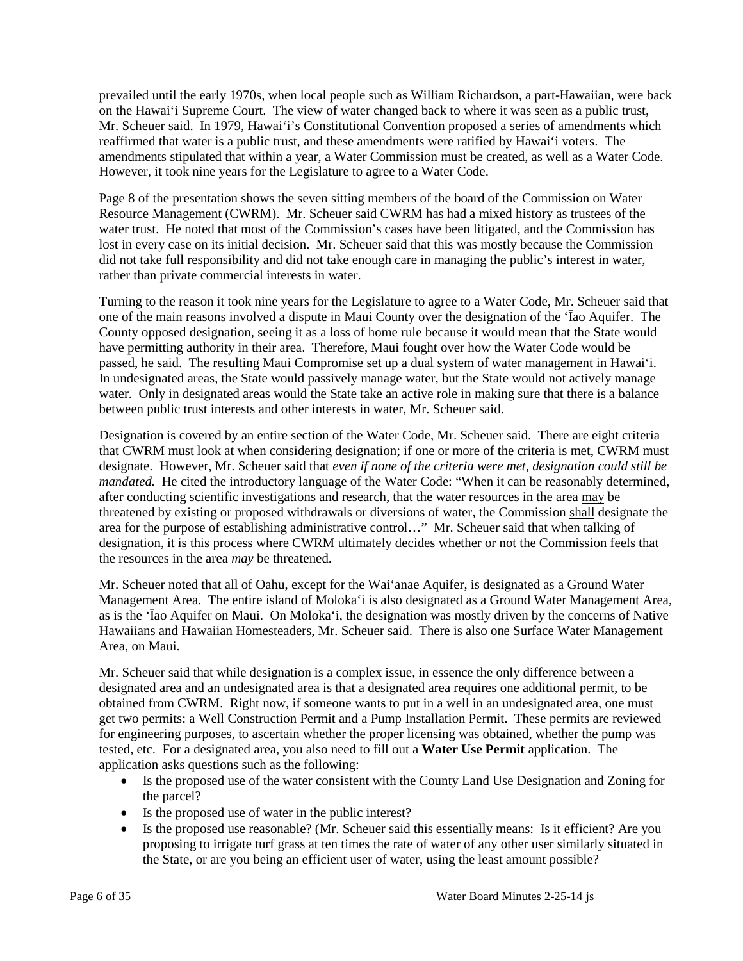prevailed until the early 1970s, when local people such as William Richardson, a part-Hawaiian, were back on the Hawai'i Supreme Court. The view of water changed back to where it was seen as a public trust, Mr. Scheuer said. In 1979, Hawai'i's Constitutional Convention proposed a series of amendments which reaffirmed that water is a public trust, and these amendments were ratified by Hawai'i voters. The amendments stipulated that within a year, a Water Commission must be created, as well as a Water Code. However, it took nine years for the Legislature to agree to a Water Code.

Page 8 of the presentation shows the seven sitting members of the board of the Commission on Water Resource Management (CWRM). Mr. Scheuer said CWRM has had a mixed history as trustees of the water trust. He noted that most of the Commission's cases have been litigated, and the Commission has lost in every case on its initial decision. Mr. Scheuer said that this was mostly because the Commission did not take full responsibility and did not take enough care in managing the public's interest in water, rather than private commercial interests in water.

Turning to the reason it took nine years for the Legislature to agree to a Water Code, Mr. Scheuer said that one of the main reasons involved a dispute in Maui County over the designation of the 'Īao Aquifer. The County opposed designation, seeing it as a loss of home rule because it would mean that the State would have permitting authority in their area. Therefore, Maui fought over how the Water Code would be passed, he said. The resulting Maui Compromise set up a dual system of water management in Hawai'i. In undesignated areas, the State would passively manage water, but the State would not actively manage water. Only in designated areas would the State take an active role in making sure that there is a balance between public trust interests and other interests in water, Mr. Scheuer said.

Designation is covered by an entire section of the Water Code, Mr. Scheuer said. There are eight criteria that CWRM must look at when considering designation; if one or more of the criteria is met, CWRM must designate. However, Mr. Scheuer said that *even if none of the criteria were met, designation could still be mandated.* He cited the introductory language of the Water Code: "When it can be reasonably determined, after conducting scientific investigations and research, that the water resources in the area may be threatened by existing or proposed withdrawals or diversions of water, the Commission shall designate the area for the purpose of establishing administrative control…" Mr. Scheuer said that when talking of designation, it is this process where CWRM ultimately decides whether or not the Commission feels that the resources in the area *may* be threatened.

Mr. Scheuer noted that all of Oahu, except for the Wai'anae Aquifer, is designated as a Ground Water Management Area. The entire island of Moloka'i is also designated as a Ground Water Management Area, as is the 'Īao Aquifer on Maui. On Moloka'i, the designation was mostly driven by the concerns of Native Hawaiians and Hawaiian Homesteaders, Mr. Scheuer said. There is also one Surface Water Management Area, on Maui.

Mr. Scheuer said that while designation is a complex issue, in essence the only difference between a designated area and an undesignated area is that a designated area requires one additional permit, to be obtained from CWRM. Right now, if someone wants to put in a well in an undesignated area, one must get two permits: a Well Construction Permit and a Pump Installation Permit. These permits are reviewed for engineering purposes, to ascertain whether the proper licensing was obtained, whether the pump was tested, etc. For a designated area, you also need to fill out a **Water Use Permit** application. The application asks questions such as the following:

- Is the proposed use of the water consistent with the County Land Use Designation and Zoning for the parcel?
- Is the proposed use of water in the public interest?
- Is the proposed use reasonable? (Mr. Scheuer said this essentially means: Is it efficient? Are you proposing to irrigate turf grass at ten times the rate of water of any other user similarly situated in the State, or are you being an efficient user of water, using the least amount possible?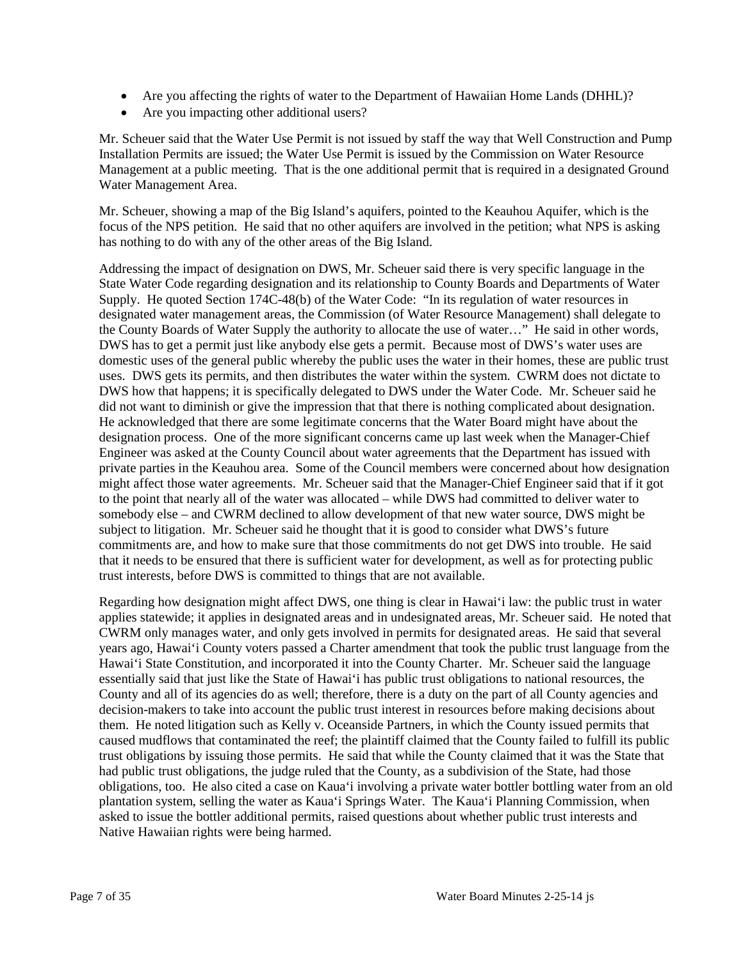- Are you affecting the rights of water to the Department of Hawaiian Home Lands (DHHL)?
- Are you impacting other additional users?

Mr. Scheuer said that the Water Use Permit is not issued by staff the way that Well Construction and Pump Installation Permits are issued; the Water Use Permit is issued by the Commission on Water Resource Management at a public meeting. That is the one additional permit that is required in a designated Ground Water Management Area.

Mr. Scheuer, showing a map of the Big Island's aquifers, pointed to the Keauhou Aquifer, which is the focus of the NPS petition. He said that no other aquifers are involved in the petition; what NPS is asking has nothing to do with any of the other areas of the Big Island.

Addressing the impact of designation on DWS, Mr. Scheuer said there is very specific language in the State Water Code regarding designation and its relationship to County Boards and Departments of Water Supply. He quoted Section 174C-48(b) of the Water Code: "In its regulation of water resources in designated water management areas, the Commission (of Water Resource Management) shall delegate to the County Boards of Water Supply the authority to allocate the use of water…" He said in other words, DWS has to get a permit just like anybody else gets a permit. Because most of DWS's water uses are domestic uses of the general public whereby the public uses the water in their homes, these are public trust uses. DWS gets its permits, and then distributes the water within the system. CWRM does not dictate to DWS how that happens; it is specifically delegated to DWS under the Water Code. Mr. Scheuer said he did not want to diminish or give the impression that that there is nothing complicated about designation. He acknowledged that there are some legitimate concerns that the Water Board might have about the designation process. One of the more significant concerns came up last week when the Manager-Chief Engineer was asked at the County Council about water agreements that the Department has issued with private parties in the Keauhou area. Some of the Council members were concerned about how designation might affect those water agreements. Mr. Scheuer said that the Manager-Chief Engineer said that if it got to the point that nearly all of the water was allocated – while DWS had committed to deliver water to somebody else – and CWRM declined to allow development of that new water source, DWS might be subject to litigation. Mr. Scheuer said he thought that it is good to consider what DWS's future commitments are, and how to make sure that those commitments do not get DWS into trouble. He said that it needs to be ensured that there is sufficient water for development, as well as for protecting public trust interests, before DWS is committed to things that are not available.

Regarding how designation might affect DWS, one thing is clear in Hawai'i law: the public trust in water applies statewide; it applies in designated areas and in undesignated areas, Mr. Scheuer said. He noted that CWRM only manages water, and only gets involved in permits for designated areas. He said that several years ago, Hawai'i County voters passed a Charter amendment that took the public trust language from the Hawai'i State Constitution, and incorporated it into the County Charter. Mr. Scheuer said the language essentially said that just like the State of Hawai'i has public trust obligations to national resources, the County and all of its agencies do as well; therefore, there is a duty on the part of all County agencies and decision-makers to take into account the public trust interest in resources before making decisions about them. He noted litigation such as Kelly v. Oceanside Partners, in which the County issued permits that caused mudflows that contaminated the reef; the plaintiff claimed that the County failed to fulfill its public trust obligations by issuing those permits. He said that while the County claimed that it was the State that had public trust obligations, the judge ruled that the County, as a subdivision of the State, had those obligations, too. He also cited a case on Kaua'i involving a private water bottler bottling water from an old plantation system, selling the water as Kaua'i Springs Water. The Kaua'i Planning Commission, when asked to issue the bottler additional permits, raised questions about whether public trust interests and Native Hawaiian rights were being harmed.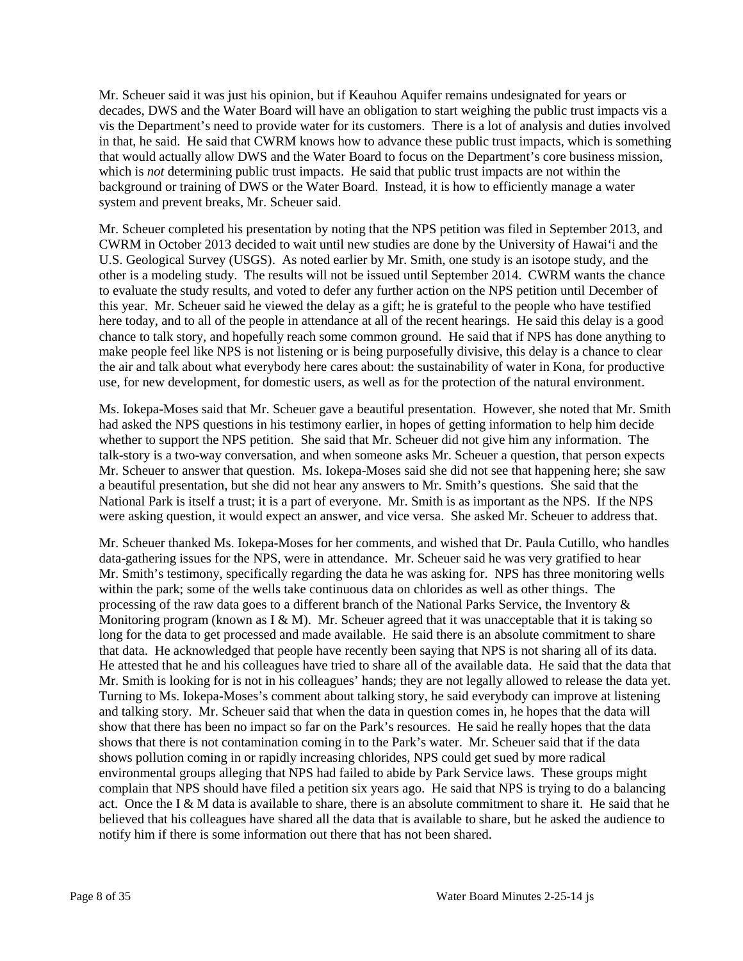Mr. Scheuer said it was just his opinion, but if Keauhou Aquifer remains undesignated for years or decades, DWS and the Water Board will have an obligation to start weighing the public trust impacts vis a vis the Department's need to provide water for its customers. There is a lot of analysis and duties involved in that, he said. He said that CWRM knows how to advance these public trust impacts, which is something that would actually allow DWS and the Water Board to focus on the Department's core business mission, which is *not* determining public trust impacts. He said that public trust impacts are not within the background or training of DWS or the Water Board. Instead, it is how to efficiently manage a water system and prevent breaks, Mr. Scheuer said.

Mr. Scheuer completed his presentation by noting that the NPS petition was filed in September 2013, and CWRM in October 2013 decided to wait until new studies are done by the University of Hawai'i and the U.S. Geological Survey (USGS). As noted earlier by Mr. Smith, one study is an isotope study, and the other is a modeling study. The results will not be issued until September 2014. CWRM wants the chance to evaluate the study results, and voted to defer any further action on the NPS petition until December of this year. Mr. Scheuer said he viewed the delay as a gift; he is grateful to the people who have testified here today, and to all of the people in attendance at all of the recent hearings. He said this delay is a good chance to talk story, and hopefully reach some common ground. He said that if NPS has done anything to make people feel like NPS is not listening or is being purposefully divisive, this delay is a chance to clear the air and talk about what everybody here cares about: the sustainability of water in Kona, for productive use, for new development, for domestic users, as well as for the protection of the natural environment.

Ms. Iokepa-Moses said that Mr. Scheuer gave a beautiful presentation. However, she noted that Mr. Smith had asked the NPS questions in his testimony earlier, in hopes of getting information to help him decide whether to support the NPS petition. She said that Mr. Scheuer did not give him any information. The talk-story is a two-way conversation, and when someone asks Mr. Scheuer a question, that person expects Mr. Scheuer to answer that question. Ms. Iokepa-Moses said she did not see that happening here; she saw a beautiful presentation, but she did not hear any answers to Mr. Smith's questions. She said that the National Park is itself a trust; it is a part of everyone. Mr. Smith is as important as the NPS. If the NPS were asking question, it would expect an answer, and vice versa. She asked Mr. Scheuer to address that.

Mr. Scheuer thanked Ms. Iokepa-Moses for her comments, and wished that Dr. Paula Cutillo, who handles data-gathering issues for the NPS, were in attendance. Mr. Scheuer said he was very gratified to hear Mr. Smith's testimony, specifically regarding the data he was asking for. NPS has three monitoring wells within the park; some of the wells take continuous data on chlorides as well as other things. The processing of the raw data goes to a different branch of the National Parks Service, the Inventory & Monitoring program (known as I & M). Mr. Scheuer agreed that it was unacceptable that it is taking so long for the data to get processed and made available. He said there is an absolute commitment to share that data. He acknowledged that people have recently been saying that NPS is not sharing all of its data. He attested that he and his colleagues have tried to share all of the available data. He said that the data that Mr. Smith is looking for is not in his colleagues' hands; they are not legally allowed to release the data yet. Turning to Ms. Iokepa-Moses's comment about talking story, he said everybody can improve at listening and talking story. Mr. Scheuer said that when the data in question comes in, he hopes that the data will show that there has been no impact so far on the Park's resources. He said he really hopes that the data shows that there is not contamination coming in to the Park's water. Mr. Scheuer said that if the data shows pollution coming in or rapidly increasing chlorides, NPS could get sued by more radical environmental groups alleging that NPS had failed to abide by Park Service laws. These groups might complain that NPS should have filed a petition six years ago. He said that NPS is trying to do a balancing act. Once the I & M data is available to share, there is an absolute commitment to share it. He said that he believed that his colleagues have shared all the data that is available to share, but he asked the audience to notify him if there is some information out there that has not been shared.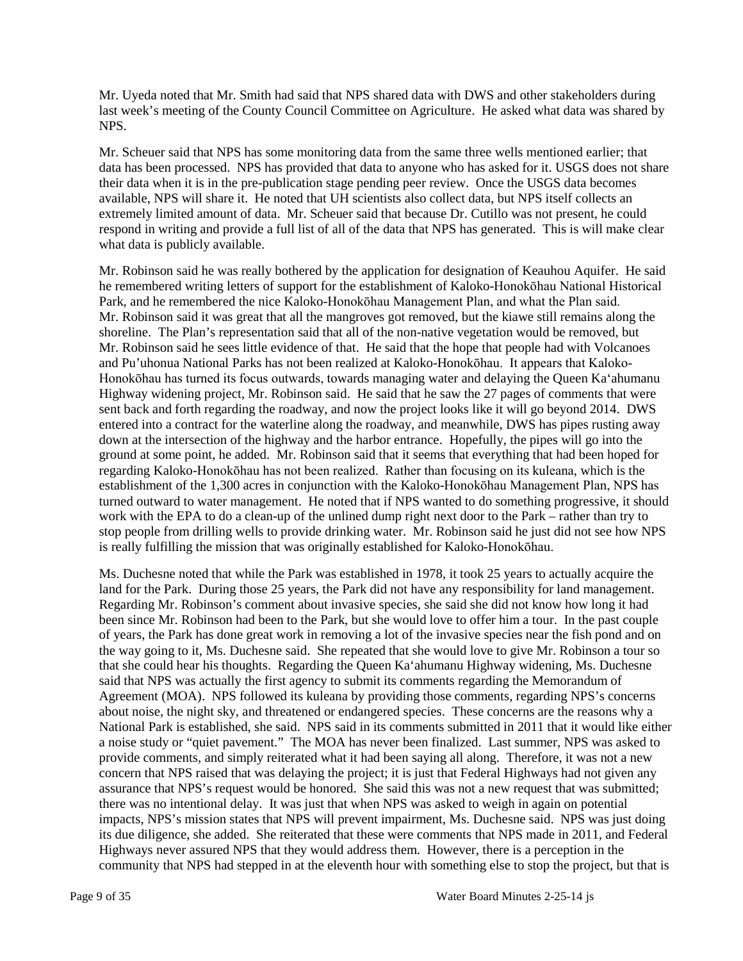Mr. Uyeda noted that Mr. Smith had said that NPS shared data with DWS and other stakeholders during last week's meeting of the County Council Committee on Agriculture. He asked what data was shared by NPS.

Mr. Scheuer said that NPS has some monitoring data from the same three wells mentioned earlier; that data has been processed. NPS has provided that data to anyone who has asked for it. USGS does not share their data when it is in the pre-publication stage pending peer review. Once the USGS data becomes available, NPS will share it. He noted that UH scientists also collect data, but NPS itself collects an extremely limited amount of data. Mr. Scheuer said that because Dr. Cutillo was not present, he could respond in writing and provide a full list of all of the data that NPS has generated. This is will make clear what data is publicly available.

Mr. Robinson said he was really bothered by the application for designation of Keauhou Aquifer. He said he remembered writing letters of support for the establishment of Kaloko-Honokōhau National Historical Park, and he remembered the nice Kaloko-Honokōhau Management Plan, and what the Plan said. Mr. Robinson said it was great that all the mangroves got removed, but the kiawe still remains along the shoreline. The Plan's representation said that all of the non-native vegetation would be removed, but Mr. Robinson said he sees little evidence of that. He said that the hope that people had with Volcanoes and Pu'uhonua National Parks has not been realized at Kaloko-Honokōhau. It appears that Kaloko-Honokōhau has turned its focus outwards, towards managing water and delaying the Queen Ka'ahumanu Highway widening project, Mr. Robinson said. He said that he saw the 27 pages of comments that were sent back and forth regarding the roadway, and now the project looks like it will go beyond 2014. DWS entered into a contract for the waterline along the roadway, and meanwhile, DWS has pipes rusting away down at the intersection of the highway and the harbor entrance. Hopefully, the pipes will go into the ground at some point, he added. Mr. Robinson said that it seems that everything that had been hoped for regarding Kaloko-Honokōhau has not been realized. Rather than focusing on its kuleana, which is the establishment of the 1,300 acres in conjunction with the Kaloko-Honokōhau Management Plan, NPS has turned outward to water management. He noted that if NPS wanted to do something progressive, it should work with the EPA to do a clean-up of the unlined dump right next door to the Park – rather than try to stop people from drilling wells to provide drinking water. Mr. Robinson said he just did not see how NPS is really fulfilling the mission that was originally established for Kaloko-Honokōhau.

Ms. Duchesne noted that while the Park was established in 1978, it took 25 years to actually acquire the land for the Park. During those 25 years, the Park did not have any responsibility for land management. Regarding Mr. Robinson's comment about invasive species, she said she did not know how long it had been since Mr. Robinson had been to the Park, but she would love to offer him a tour. In the past couple of years, the Park has done great work in removing a lot of the invasive species near the fish pond and on the way going to it, Ms. Duchesne said. She repeated that she would love to give Mr. Robinson a tour so that she could hear his thoughts. Regarding the Queen Ka'ahumanu Highway widening, Ms. Duchesne said that NPS was actually the first agency to submit its comments regarding the Memorandum of Agreement (MOA). NPS followed its kuleana by providing those comments, regarding NPS's concerns about noise, the night sky, and threatened or endangered species. These concerns are the reasons why a National Park is established, she said. NPS said in its comments submitted in 2011 that it would like either a noise study or "quiet pavement." The MOA has never been finalized. Last summer, NPS was asked to provide comments, and simply reiterated what it had been saying all along. Therefore, it was not a new concern that NPS raised that was delaying the project; it is just that Federal Highways had not given any assurance that NPS's request would be honored. She said this was not a new request that was submitted; there was no intentional delay. It was just that when NPS was asked to weigh in again on potential impacts, NPS's mission states that NPS will prevent impairment, Ms. Duchesne said. NPS was just doing its due diligence, she added. She reiterated that these were comments that NPS made in 2011, and Federal Highways never assured NPS that they would address them. However, there is a perception in the community that NPS had stepped in at the eleventh hour with something else to stop the project, but that is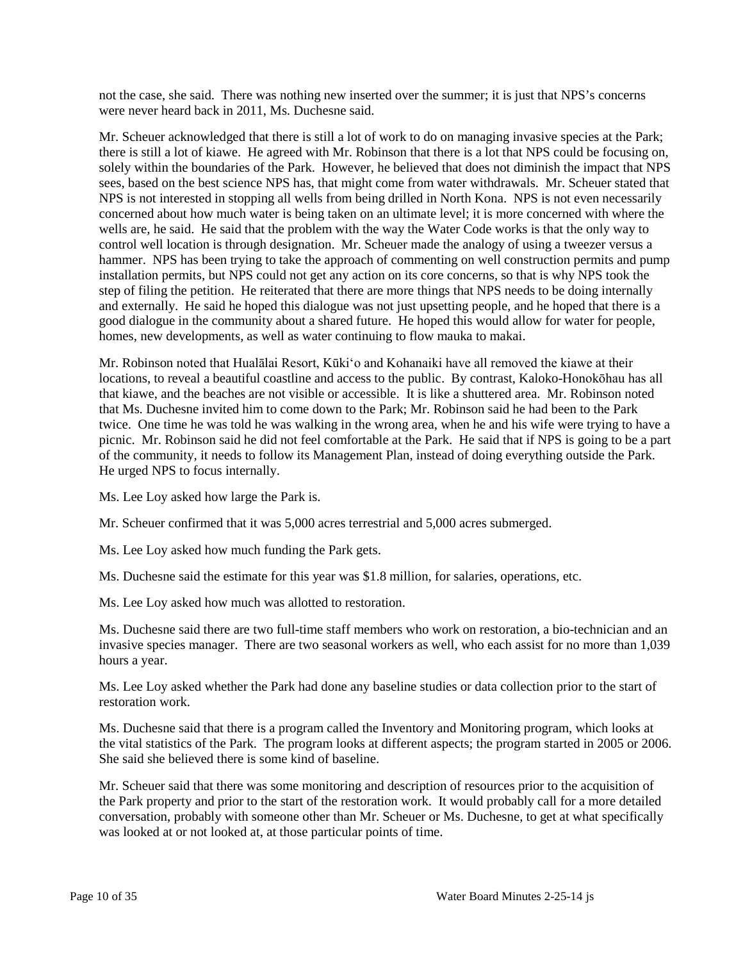not the case, she said. There was nothing new inserted over the summer; it is just that NPS's concerns were never heard back in 2011, Ms. Duchesne said.

Mr. Scheuer acknowledged that there is still a lot of work to do on managing invasive species at the Park; there is still a lot of kiawe. He agreed with Mr. Robinson that there is a lot that NPS could be focusing on, solely within the boundaries of the Park. However, he believed that does not diminish the impact that NPS sees, based on the best science NPS has, that might come from water withdrawals. Mr. Scheuer stated that NPS is not interested in stopping all wells from being drilled in North Kona. NPS is not even necessarily concerned about how much water is being taken on an ultimate level; it is more concerned with where the wells are, he said. He said that the problem with the way the Water Code works is that the only way to control well location is through designation. Mr. Scheuer made the analogy of using a tweezer versus a hammer. NPS has been trying to take the approach of commenting on well construction permits and pump installation permits, but NPS could not get any action on its core concerns, so that is why NPS took the step of filing the petition. He reiterated that there are more things that NPS needs to be doing internally and externally. He said he hoped this dialogue was not just upsetting people, and he hoped that there is a good dialogue in the community about a shared future. He hoped this would allow for water for people, homes, new developments, as well as water continuing to flow mauka to makai.

Mr. Robinson noted that Hualālai Resort, Kūki'o and Kohanaiki have all removed the kiawe at their locations, to reveal a beautiful coastline and access to the public. By contrast, Kaloko-Honokōhau has all that kiawe, and the beaches are not visible or accessible. It is like a shuttered area. Mr. Robinson noted that Ms. Duchesne invited him to come down to the Park; Mr. Robinson said he had been to the Park twice. One time he was told he was walking in the wrong area, when he and his wife were trying to have a picnic. Mr. Robinson said he did not feel comfortable at the Park. He said that if NPS is going to be a part of the community, it needs to follow its Management Plan, instead of doing everything outside the Park. He urged NPS to focus internally.

Ms. Lee Loy asked how large the Park is.

Mr. Scheuer confirmed that it was 5,000 acres terrestrial and 5,000 acres submerged.

Ms. Lee Loy asked how much funding the Park gets.

Ms. Duchesne said the estimate for this year was \$1.8 million, for salaries, operations, etc.

Ms. Lee Loy asked how much was allotted to restoration.

Ms. Duchesne said there are two full-time staff members who work on restoration, a bio-technician and an invasive species manager. There are two seasonal workers as well, who each assist for no more than 1,039 hours a year.

Ms. Lee Loy asked whether the Park had done any baseline studies or data collection prior to the start of restoration work.

Ms. Duchesne said that there is a program called the Inventory and Monitoring program, which looks at the vital statistics of the Park. The program looks at different aspects; the program started in 2005 or 2006. She said she believed there is some kind of baseline.

Mr. Scheuer said that there was some monitoring and description of resources prior to the acquisition of the Park property and prior to the start of the restoration work. It would probably call for a more detailed conversation, probably with someone other than Mr. Scheuer or Ms. Duchesne, to get at what specifically was looked at or not looked at, at those particular points of time.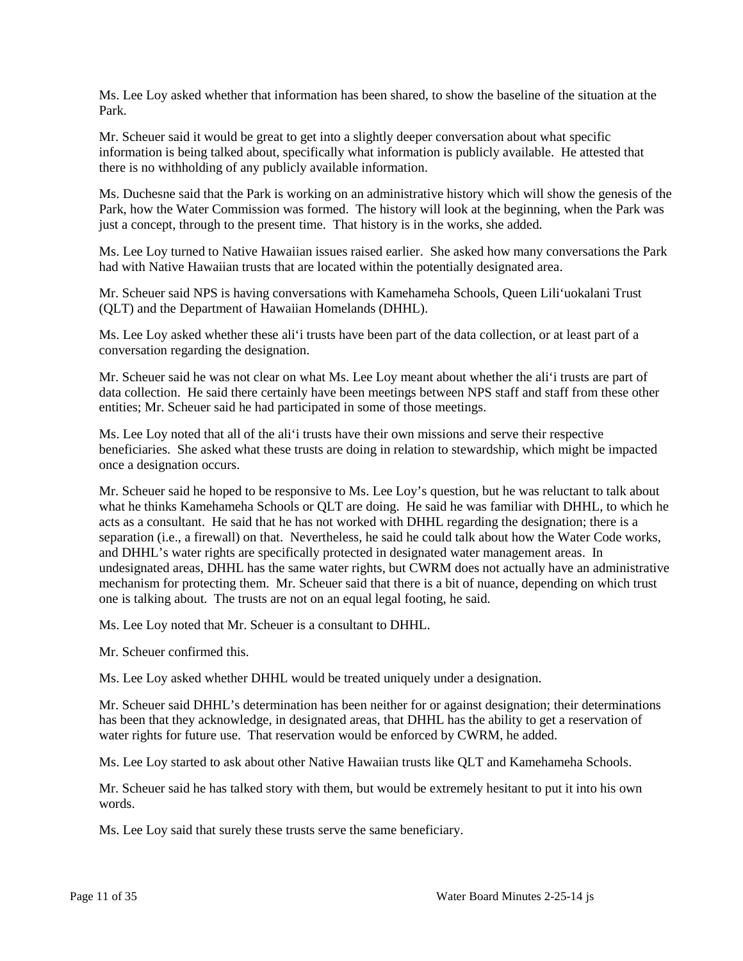Ms. Lee Loy asked whether that information has been shared, to show the baseline of the situation at the Park.

Mr. Scheuer said it would be great to get into a slightly deeper conversation about what specific information is being talked about, specifically what information is publicly available. He attested that there is no withholding of any publicly available information.

Ms. Duchesne said that the Park is working on an administrative history which will show the genesis of the Park, how the Water Commission was formed. The history will look at the beginning, when the Park was just a concept, through to the present time. That history is in the works, she added.

Ms. Lee Loy turned to Native Hawaiian issues raised earlier. She asked how many conversations the Park had with Native Hawaiian trusts that are located within the potentially designated area.

Mr. Scheuer said NPS is having conversations with Kamehameha Schools, Queen Lili'uokalani Trust (QLT) and the Department of Hawaiian Homelands (DHHL).

Ms. Lee Loy asked whether these ali'i trusts have been part of the data collection, or at least part of a conversation regarding the designation.

Mr. Scheuer said he was not clear on what Ms. Lee Loy meant about whether the ali'i trusts are part of data collection. He said there certainly have been meetings between NPS staff and staff from these other entities; Mr. Scheuer said he had participated in some of those meetings.

Ms. Lee Loy noted that all of the ali'i trusts have their own missions and serve their respective beneficiaries. She asked what these trusts are doing in relation to stewardship, which might be impacted once a designation occurs.

Mr. Scheuer said he hoped to be responsive to Ms. Lee Loy's question, but he was reluctant to talk about what he thinks Kamehameha Schools or QLT are doing. He said he was familiar with DHHL, to which he acts as a consultant. He said that he has not worked with DHHL regarding the designation; there is a separation (i.e., a firewall) on that. Nevertheless, he said he could talk about how the Water Code works, and DHHL's water rights are specifically protected in designated water management areas. In undesignated areas, DHHL has the same water rights, but CWRM does not actually have an administrative mechanism for protecting them. Mr. Scheuer said that there is a bit of nuance, depending on which trust one is talking about. The trusts are not on an equal legal footing, he said.

Ms. Lee Loy noted that Mr. Scheuer is a consultant to DHHL.

Mr. Scheuer confirmed this.

Ms. Lee Loy asked whether DHHL would be treated uniquely under a designation.

Mr. Scheuer said DHHL's determination has been neither for or against designation; their determinations has been that they acknowledge, in designated areas, that DHHL has the ability to get a reservation of water rights for future use. That reservation would be enforced by CWRM, he added.

Ms. Lee Loy started to ask about other Native Hawaiian trusts like QLT and Kamehameha Schools.

Mr. Scheuer said he has talked story with them, but would be extremely hesitant to put it into his own words.

Ms. Lee Loy said that surely these trusts serve the same beneficiary.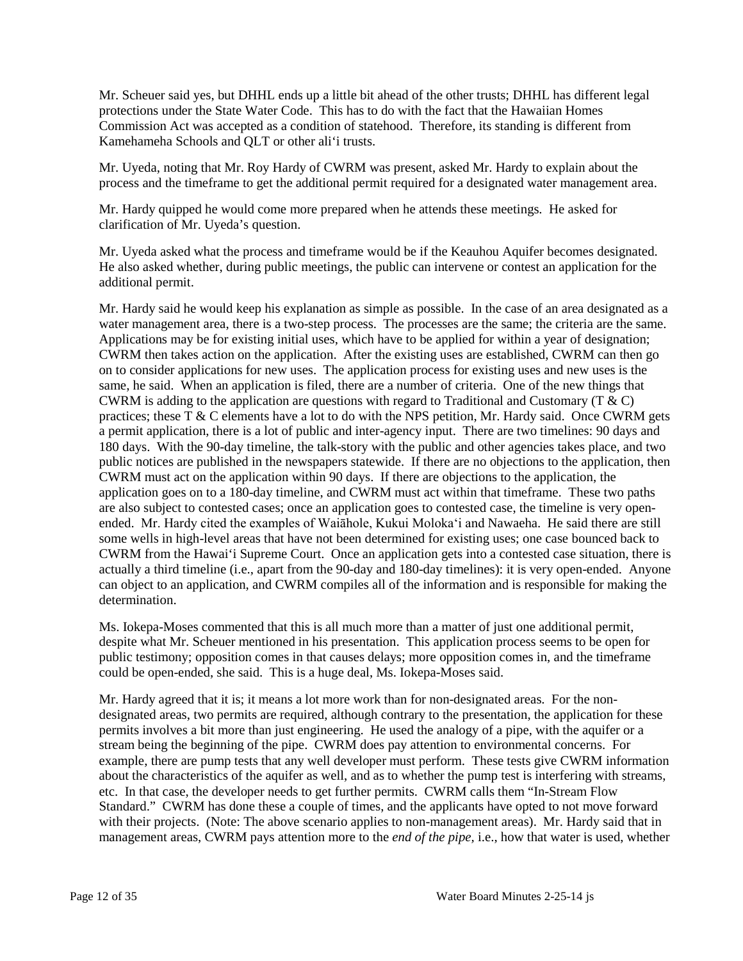Mr. Scheuer said yes, but DHHL ends up a little bit ahead of the other trusts; DHHL has different legal protections under the State Water Code. This has to do with the fact that the Hawaiian Homes Commission Act was accepted as a condition of statehood. Therefore, its standing is different from Kamehameha Schools and QLT or other ali'i trusts.

Mr. Uyeda, noting that Mr. Roy Hardy of CWRM was present, asked Mr. Hardy to explain about the process and the timeframe to get the additional permit required for a designated water management area.

Mr. Hardy quipped he would come more prepared when he attends these meetings. He asked for clarification of Mr. Uyeda's question.

Mr. Uyeda asked what the process and timeframe would be if the Keauhou Aquifer becomes designated. He also asked whether, during public meetings, the public can intervene or contest an application for the additional permit.

Mr. Hardy said he would keep his explanation as simple as possible. In the case of an area designated as a water management area, there is a two-step process. The processes are the same; the criteria are the same. Applications may be for existing initial uses, which have to be applied for within a year of designation; CWRM then takes action on the application. After the existing uses are established, CWRM can then go on to consider applications for new uses. The application process for existing uses and new uses is the same, he said. When an application is filed, there are a number of criteria. One of the new things that CWRM is adding to the application are questions with regard to Traditional and Customary (T  $\&$  C) practices; these  $T \& C$  elements have a lot to do with the NPS petition, Mr. Hardy said. Once CWRM gets a permit application, there is a lot of public and inter-agency input. There are two timelines: 90 days and 180 days. With the 90-day timeline, the talk-story with the public and other agencies takes place, and two public notices are published in the newspapers statewide. If there are no objections to the application, then CWRM must act on the application within 90 days. If there are objections to the application, the application goes on to a 180-day timeline, and CWRM must act within that timeframe. These two paths are also subject to contested cases; once an application goes to contested case, the timeline is very openended. Mr. Hardy cited the examples of Waiāhole, Kukui Moloka'i and Nawaeha. He said there are still some wells in high-level areas that have not been determined for existing uses; one case bounced back to CWRM from the Hawai'i Supreme Court. Once an application gets into a contested case situation, there is actually a third timeline (i.e., apart from the 90-day and 180-day timelines): it is very open-ended. Anyone can object to an application, and CWRM compiles all of the information and is responsible for making the determination.

Ms. Iokepa-Moses commented that this is all much more than a matter of just one additional permit, despite what Mr. Scheuer mentioned in his presentation. This application process seems to be open for public testimony; opposition comes in that causes delays; more opposition comes in, and the timeframe could be open-ended, she said. This is a huge deal, Ms. Iokepa-Moses said.

Mr. Hardy agreed that it is; it means a lot more work than for non-designated areas. For the nondesignated areas, two permits are required, although contrary to the presentation, the application for these permits involves a bit more than just engineering. He used the analogy of a pipe, with the aquifer or a stream being the beginning of the pipe. CWRM does pay attention to environmental concerns. For example, there are pump tests that any well developer must perform. These tests give CWRM information about the characteristics of the aquifer as well, and as to whether the pump test is interfering with streams, etc. In that case, the developer needs to get further permits. CWRM calls them "In-Stream Flow Standard." CWRM has done these a couple of times, and the applicants have opted to not move forward with their projects. (Note: The above scenario applies to non-management areas). Mr. Hardy said that in management areas, CWRM pays attention more to the *end of the pipe,* i.e., how that water is used, whether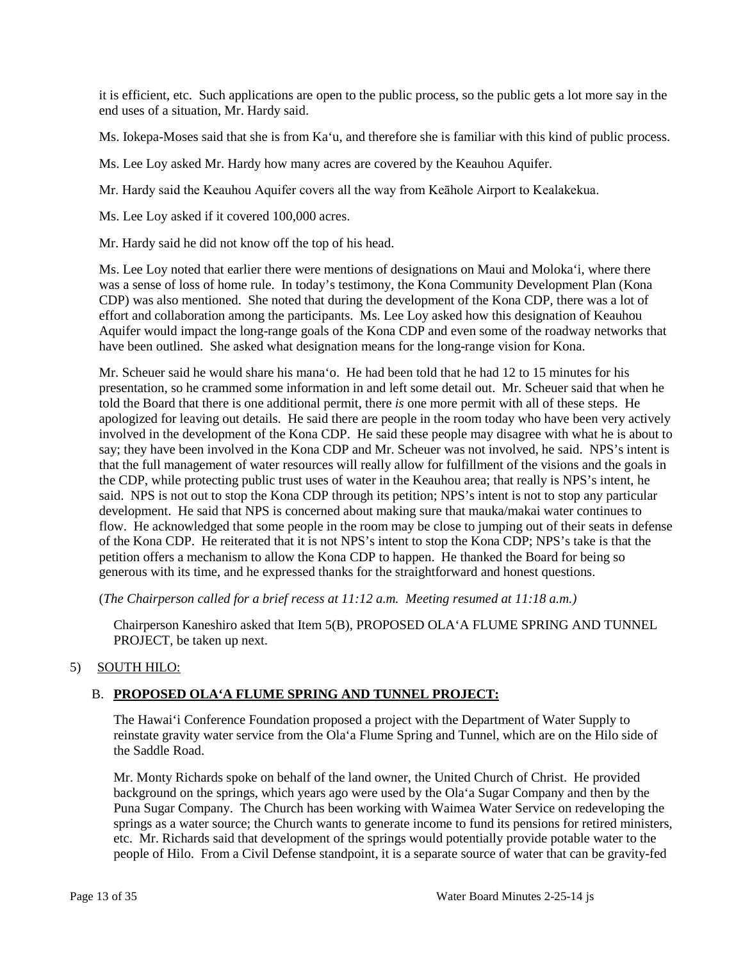it is efficient, etc. Such applications are open to the public process, so the public gets a lot more say in the end uses of a situation, Mr. Hardy said.

Ms. Iokepa-Moses said that she is from Ka'u, and therefore she is familiar with this kind of public process.

Ms. Lee Loy asked Mr. Hardy how many acres are covered by the Keauhou Aquifer.

Mr. Hardy said the Keauhou Aquifer covers all the way from Keāhole Airport to Kealakekua.

Ms. Lee Loy asked if it covered 100,000 acres.

Mr. Hardy said he did not know off the top of his head.

Ms. Lee Loy noted that earlier there were mentions of designations on Maui and Moloka'i, where there was a sense of loss of home rule. In today's testimony, the Kona Community Development Plan (Kona CDP) was also mentioned. She noted that during the development of the Kona CDP, there was a lot of effort and collaboration among the participants. Ms. Lee Loy asked how this designation of Keauhou Aquifer would impact the long-range goals of the Kona CDP and even some of the roadway networks that have been outlined. She asked what designation means for the long-range vision for Kona.

Mr. Scheuer said he would share his mana'o. He had been told that he had 12 to 15 minutes for his presentation, so he crammed some information in and left some detail out. Mr. Scheuer said that when he told the Board that there is one additional permit, there *is* one more permit with all of these steps. He apologized for leaving out details. He said there are people in the room today who have been very actively involved in the development of the Kona CDP. He said these people may disagree with what he is about to say; they have been involved in the Kona CDP and Mr. Scheuer was not involved, he said. NPS's intent is that the full management of water resources will really allow for fulfillment of the visions and the goals in the CDP, while protecting public trust uses of water in the Keauhou area; that really is NPS's intent, he said. NPS is not out to stop the Kona CDP through its petition; NPS's intent is not to stop any particular development. He said that NPS is concerned about making sure that mauka/makai water continues to flow. He acknowledged that some people in the room may be close to jumping out of their seats in defense of the Kona CDP. He reiterated that it is not NPS's intent to stop the Kona CDP; NPS's take is that the petition offers a mechanism to allow the Kona CDP to happen. He thanked the Board for being so generous with its time, and he expressed thanks for the straightforward and honest questions.

(*The Chairperson called for a brief recess at 11:12 a.m. Meeting resumed at 11:18 a.m.)*

Chairperson Kaneshiro asked that Item 5(B), PROPOSED OLA'A FLUME SPRING AND TUNNEL PROJECT, be taken up next.

# 5) SOUTH HILO:

# B. **PROPOSED OLA'A FLUME SPRING AND TUNNEL PROJECT:**

The Hawai'i Conference Foundation proposed a project with the Department of Water Supply to reinstate gravity water service from the Ola'a Flume Spring and Tunnel, which are on the Hilo side of the Saddle Road.

Mr. Monty Richards spoke on behalf of the land owner, the United Church of Christ. He provided background on the springs, which years ago were used by the Ola'a Sugar Company and then by the Puna Sugar Company. The Church has been working with Waimea Water Service on redeveloping the springs as a water source; the Church wants to generate income to fund its pensions for retired ministers, etc. Mr. Richards said that development of the springs would potentially provide potable water to the people of Hilo. From a Civil Defense standpoint, it is a separate source of water that can be gravity-fed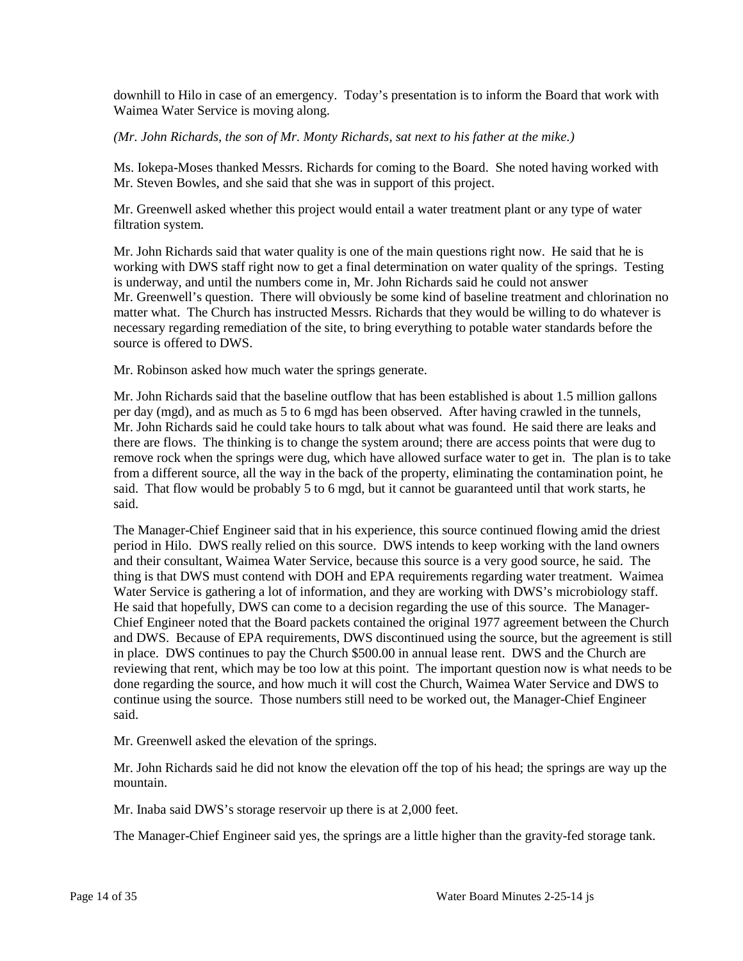downhill to Hilo in case of an emergency. Today's presentation is to inform the Board that work with Waimea Water Service is moving along.

*(Mr. John Richards, the son of Mr. Monty Richards, sat next to his father at the mike.)*

Ms. Iokepa-Moses thanked Messrs. Richards for coming to the Board. She noted having worked with Mr. Steven Bowles, and she said that she was in support of this project.

Mr. Greenwell asked whether this project would entail a water treatment plant or any type of water filtration system.

Mr. John Richards said that water quality is one of the main questions right now. He said that he is working with DWS staff right now to get a final determination on water quality of the springs. Testing is underway, and until the numbers come in, Mr. John Richards said he could not answer Mr. Greenwell's question. There will obviously be some kind of baseline treatment and chlorination no matter what. The Church has instructed Messrs. Richards that they would be willing to do whatever is necessary regarding remediation of the site, to bring everything to potable water standards before the source is offered to DWS.

Mr. Robinson asked how much water the springs generate.

Mr. John Richards said that the baseline outflow that has been established is about 1.5 million gallons per day (mgd), and as much as 5 to 6 mgd has been observed. After having crawled in the tunnels, Mr. John Richards said he could take hours to talk about what was found. He said there are leaks and there are flows. The thinking is to change the system around; there are access points that were dug to remove rock when the springs were dug, which have allowed surface water to get in. The plan is to take from a different source, all the way in the back of the property, eliminating the contamination point, he said. That flow would be probably 5 to 6 mgd, but it cannot be guaranteed until that work starts, he said.

The Manager-Chief Engineer said that in his experience, this source continued flowing amid the driest period in Hilo. DWS really relied on this source. DWS intends to keep working with the land owners and their consultant, Waimea Water Service, because this source is a very good source, he said. The thing is that DWS must contend with DOH and EPA requirements regarding water treatment. Waimea Water Service is gathering a lot of information, and they are working with DWS's microbiology staff. He said that hopefully, DWS can come to a decision regarding the use of this source. The Manager-Chief Engineer noted that the Board packets contained the original 1977 agreement between the Church and DWS. Because of EPA requirements, DWS discontinued using the source, but the agreement is still in place. DWS continues to pay the Church \$500.00 in annual lease rent. DWS and the Church are reviewing that rent, which may be too low at this point. The important question now is what needs to be done regarding the source, and how much it will cost the Church, Waimea Water Service and DWS to continue using the source. Those numbers still need to be worked out, the Manager-Chief Engineer said.

Mr. Greenwell asked the elevation of the springs.

Mr. John Richards said he did not know the elevation off the top of his head; the springs are way up the mountain.

Mr. Inaba said DWS's storage reservoir up there is at 2,000 feet.

The Manager-Chief Engineer said yes, the springs are a little higher than the gravity-fed storage tank.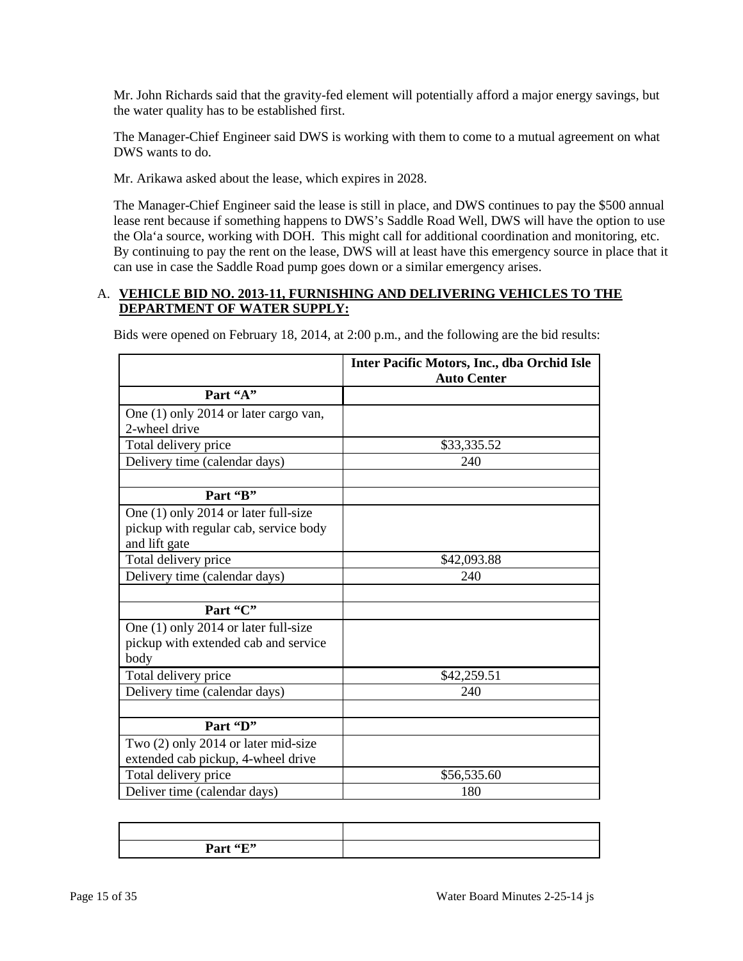Mr. John Richards said that the gravity-fed element will potentially afford a major energy savings, but the water quality has to be established first.

The Manager-Chief Engineer said DWS is working with them to come to a mutual agreement on what DWS wants to do.

Mr. Arikawa asked about the lease, which expires in 2028.

The Manager-Chief Engineer said the lease is still in place, and DWS continues to pay the \$500 annual lease rent because if something happens to DWS's Saddle Road Well, DWS will have the option to use the Ola'a source, working with DOH. This might call for additional coordination and monitoring, etc. By continuing to pay the rent on the lease, DWS will at least have this emergency source in place that it can use in case the Saddle Road pump goes down or a similar emergency arises.

### A. **VEHICLE BID NO. 2013-11, FURNISHING AND DELIVERING VEHICLES TO THE DEPARTMENT OF WATER SUPPLY:**

|                                       | Inter Pacific Motors, Inc., dba Orchid Isle<br><b>Auto Center</b> |  |
|---------------------------------------|-------------------------------------------------------------------|--|
| Part "A"                              |                                                                   |  |
| One (1) only 2014 or later cargo van, |                                                                   |  |
| 2-wheel drive                         |                                                                   |  |
| Total delivery price                  | \$33,335.52                                                       |  |
| Delivery time (calendar days)         | 240                                                               |  |
|                                       |                                                                   |  |
| Part 'B"                              |                                                                   |  |
| One (1) only 2014 or later full-size  |                                                                   |  |
| pickup with regular cab, service body |                                                                   |  |
| and lift gate                         |                                                                   |  |
| Total delivery price                  | \$42,093.88                                                       |  |
| Delivery time (calendar days)         | 240                                                               |  |
|                                       |                                                                   |  |
| Part "C"                              |                                                                   |  |
| One (1) only 2014 or later full-size  |                                                                   |  |
| pickup with extended cab and service  |                                                                   |  |
| body                                  |                                                                   |  |
| Total delivery price                  | \$42,259.51                                                       |  |
| Delivery time (calendar days)         | 240                                                               |  |
|                                       |                                                                   |  |
| Part 'D"                              |                                                                   |  |
| Two (2) only 2014 or later mid-size   |                                                                   |  |
| extended cab pickup, 4-wheel drive    |                                                                   |  |
| Total delivery price                  | \$56,535.60                                                       |  |
| Deliver time (calendar days)          | 180                                                               |  |

Bids were opened on February 18, 2014, at 2:00 p.m., and the following are the bid results:

| Part "E" |  |
|----------|--|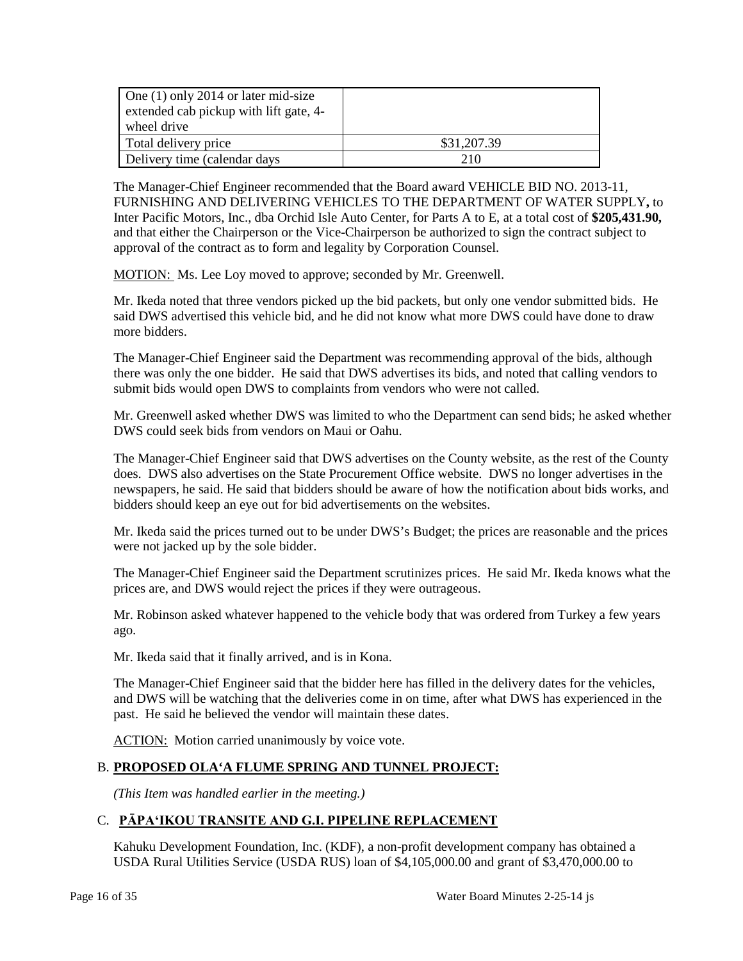| One $(1)$ only 2014 or later mid-size<br>extended cab pickup with lift gate, 4-<br>wheel drive |             |
|------------------------------------------------------------------------------------------------|-------------|
| Total delivery price                                                                           | \$31,207.39 |
| Delivery time (calendar days                                                                   | 210         |

The Manager-Chief Engineer recommended that the Board award VEHICLE BID NO. 2013-11, FURNISHING AND DELIVERING VEHICLES TO THE DEPARTMENT OF WATER SUPPLY**,** to Inter Pacific Motors, Inc., dba Orchid Isle Auto Center, for Parts A to E, at a total cost of **\$205,431.90,** and that either the Chairperson or the Vice-Chairperson be authorized to sign the contract subject to approval of the contract as to form and legality by Corporation Counsel.

MOTION: Ms. Lee Loy moved to approve; seconded by Mr. Greenwell.

Mr. Ikeda noted that three vendors picked up the bid packets, but only one vendor submitted bids. He said DWS advertised this vehicle bid, and he did not know what more DWS could have done to draw more bidders.

The Manager-Chief Engineer said the Department was recommending approval of the bids, although there was only the one bidder. He said that DWS advertises its bids, and noted that calling vendors to submit bids would open DWS to complaints from vendors who were not called.

Mr. Greenwell asked whether DWS was limited to who the Department can send bids; he asked whether DWS could seek bids from vendors on Maui or Oahu.

The Manager-Chief Engineer said that DWS advertises on the County website, as the rest of the County does. DWS also advertises on the State Procurement Office website. DWS no longer advertises in the newspapers, he said. He said that bidders should be aware of how the notification about bids works, and bidders should keep an eye out for bid advertisements on the websites.

Mr. Ikeda said the prices turned out to be under DWS's Budget; the prices are reasonable and the prices were not jacked up by the sole bidder.

The Manager-Chief Engineer said the Department scrutinizes prices. He said Mr. Ikeda knows what the prices are, and DWS would reject the prices if they were outrageous.

Mr. Robinson asked whatever happened to the vehicle body that was ordered from Turkey a few years ago.

Mr. Ikeda said that it finally arrived, and is in Kona.

The Manager-Chief Engineer said that the bidder here has filled in the delivery dates for the vehicles, and DWS will be watching that the deliveries come in on time, after what DWS has experienced in the past. He said he believed the vendor will maintain these dates.

ACTION: Motion carried unanimously by voice vote.

# B. **PROPOSED OLA'A FLUME SPRING AND TUNNEL PROJECT:**

*(This Item was handled earlier in the meeting.)*

# C. **PĀPA'IKOU TRANSITE AND G.I. PIPELINE REPLACEMENT**

Kahuku Development Foundation, Inc. (KDF), a non-profit development company has obtained a USDA Rural Utilities Service (USDA RUS) loan of \$4,105,000.00 and grant of \$3,470,000.00 to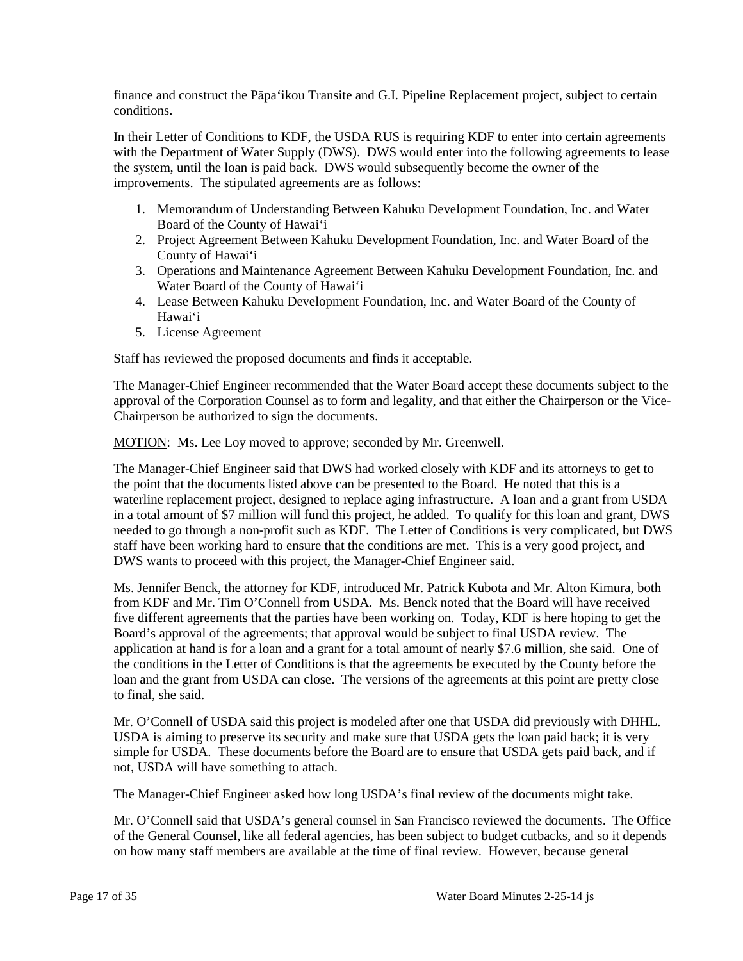finance and construct the Pāpa'ikou Transite and G.I. Pipeline Replacement project, subject to certain conditions.

In their Letter of Conditions to KDF, the USDA RUS is requiring KDF to enter into certain agreements with the Department of Water Supply (DWS). DWS would enter into the following agreements to lease the system, until the loan is paid back. DWS would subsequently become the owner of the improvements. The stipulated agreements are as follows:

- 1. Memorandum of Understanding Between Kahuku Development Foundation, Inc. and Water Board of the County of Hawai'i
- 2. Project Agreement Between Kahuku Development Foundation, Inc. and Water Board of the County of Hawai'i
- 3. Operations and Maintenance Agreement Between Kahuku Development Foundation, Inc. and Water Board of the County of Hawai'i
- 4. Lease Between Kahuku Development Foundation, Inc. and Water Board of the County of Hawai'i
- 5. License Agreement

Staff has reviewed the proposed documents and finds it acceptable.

The Manager-Chief Engineer recommended that the Water Board accept these documents subject to the approval of the Corporation Counsel as to form and legality, and that either the Chairperson or the Vice-Chairperson be authorized to sign the documents.

MOTION: Ms. Lee Loy moved to approve; seconded by Mr. Greenwell.

The Manager-Chief Engineer said that DWS had worked closely with KDF and its attorneys to get to the point that the documents listed above can be presented to the Board. He noted that this is a waterline replacement project, designed to replace aging infrastructure. A loan and a grant from USDA in a total amount of \$7 million will fund this project, he added. To qualify for this loan and grant, DWS needed to go through a non-profit such as KDF. The Letter of Conditions is very complicated, but DWS staff have been working hard to ensure that the conditions are met. This is a very good project, and DWS wants to proceed with this project, the Manager-Chief Engineer said.

Ms. Jennifer Benck, the attorney for KDF, introduced Mr. Patrick Kubota and Mr. Alton Kimura, both from KDF and Mr. Tim O'Connell from USDA. Ms. Benck noted that the Board will have received five different agreements that the parties have been working on. Today, KDF is here hoping to get the Board's approval of the agreements; that approval would be subject to final USDA review. The application at hand is for a loan and a grant for a total amount of nearly \$7.6 million, she said. One of the conditions in the Letter of Conditions is that the agreements be executed by the County before the loan and the grant from USDA can close. The versions of the agreements at this point are pretty close to final, she said.

Mr. O'Connell of USDA said this project is modeled after one that USDA did previously with DHHL. USDA is aiming to preserve its security and make sure that USDA gets the loan paid back; it is very simple for USDA. These documents before the Board are to ensure that USDA gets paid back, and if not, USDA will have something to attach.

The Manager-Chief Engineer asked how long USDA's final review of the documents might take.

Mr. O'Connell said that USDA's general counsel in San Francisco reviewed the documents. The Office of the General Counsel, like all federal agencies, has been subject to budget cutbacks, and so it depends on how many staff members are available at the time of final review. However, because general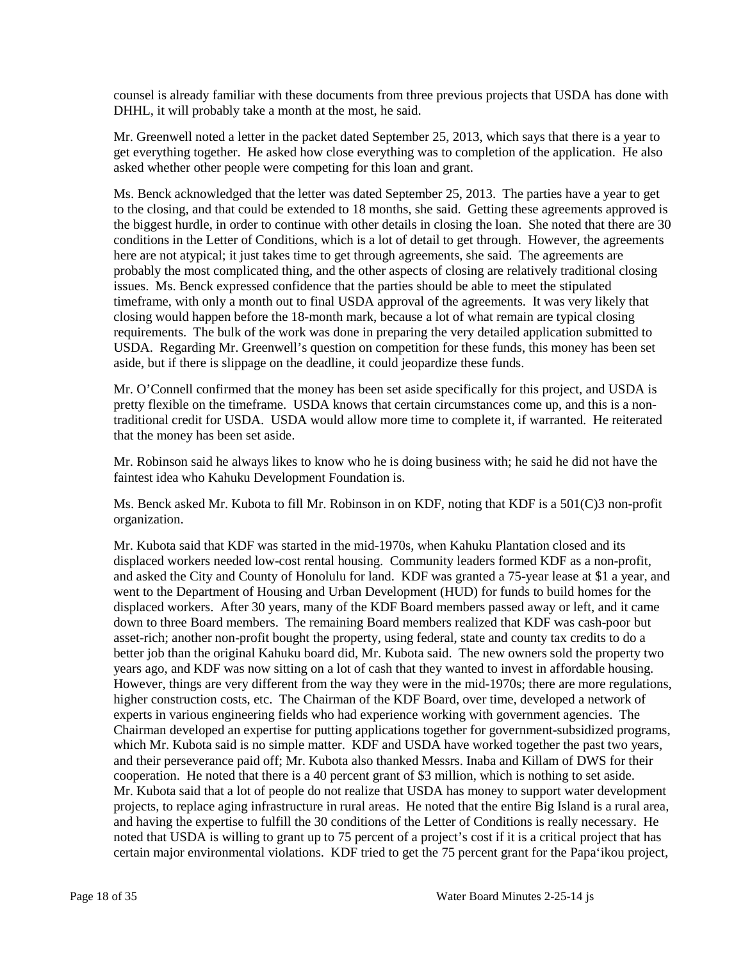counsel is already familiar with these documents from three previous projects that USDA has done with DHHL, it will probably take a month at the most, he said.

Mr. Greenwell noted a letter in the packet dated September 25, 2013, which says that there is a year to get everything together. He asked how close everything was to completion of the application. He also asked whether other people were competing for this loan and grant.

Ms. Benck acknowledged that the letter was dated September 25, 2013. The parties have a year to get to the closing, and that could be extended to 18 months, she said. Getting these agreements approved is the biggest hurdle, in order to continue with other details in closing the loan. She noted that there are 30 conditions in the Letter of Conditions, which is a lot of detail to get through. However, the agreements here are not atypical; it just takes time to get through agreements, she said. The agreements are probably the most complicated thing, and the other aspects of closing are relatively traditional closing issues. Ms. Benck expressed confidence that the parties should be able to meet the stipulated timeframe, with only a month out to final USDA approval of the agreements. It was very likely that closing would happen before the 18-month mark, because a lot of what remain are typical closing requirements. The bulk of the work was done in preparing the very detailed application submitted to USDA. Regarding Mr. Greenwell's question on competition for these funds, this money has been set aside, but if there is slippage on the deadline, it could jeopardize these funds.

Mr. O'Connell confirmed that the money has been set aside specifically for this project, and USDA is pretty flexible on the timeframe. USDA knows that certain circumstances come up, and this is a nontraditional credit for USDA. USDA would allow more time to complete it, if warranted. He reiterated that the money has been set aside.

Mr. Robinson said he always likes to know who he is doing business with; he said he did not have the faintest idea who Kahuku Development Foundation is.

Ms. Benck asked Mr. Kubota to fill Mr. Robinson in on KDF, noting that KDF is a 501(C)3 non-profit organization.

Mr. Kubota said that KDF was started in the mid-1970s, when Kahuku Plantation closed and its displaced workers needed low-cost rental housing. Community leaders formed KDF as a non-profit, and asked the City and County of Honolulu for land. KDF was granted a 75-year lease at \$1 a year, and went to the Department of Housing and Urban Development (HUD) for funds to build homes for the displaced workers. After 30 years, many of the KDF Board members passed away or left, and it came down to three Board members. The remaining Board members realized that KDF was cash-poor but asset-rich; another non-profit bought the property, using federal, state and county tax credits to do a better job than the original Kahuku board did, Mr. Kubota said. The new owners sold the property two years ago, and KDF was now sitting on a lot of cash that they wanted to invest in affordable housing. However, things are very different from the way they were in the mid-1970s; there are more regulations, higher construction costs, etc. The Chairman of the KDF Board, over time, developed a network of experts in various engineering fields who had experience working with government agencies. The Chairman developed an expertise for putting applications together for government-subsidized programs, which Mr. Kubota said is no simple matter. KDF and USDA have worked together the past two years, and their perseverance paid off; Mr. Kubota also thanked Messrs. Inaba and Killam of DWS for their cooperation. He noted that there is a 40 percent grant of \$3 million, which is nothing to set aside. Mr. Kubota said that a lot of people do not realize that USDA has money to support water development projects, to replace aging infrastructure in rural areas. He noted that the entire Big Island is a rural area, and having the expertise to fulfill the 30 conditions of the Letter of Conditions is really necessary. He noted that USDA is willing to grant up to 75 percent of a project's cost if it is a critical project that has certain major environmental violations. KDF tried to get the 75 percent grant for the Papa'ikou project,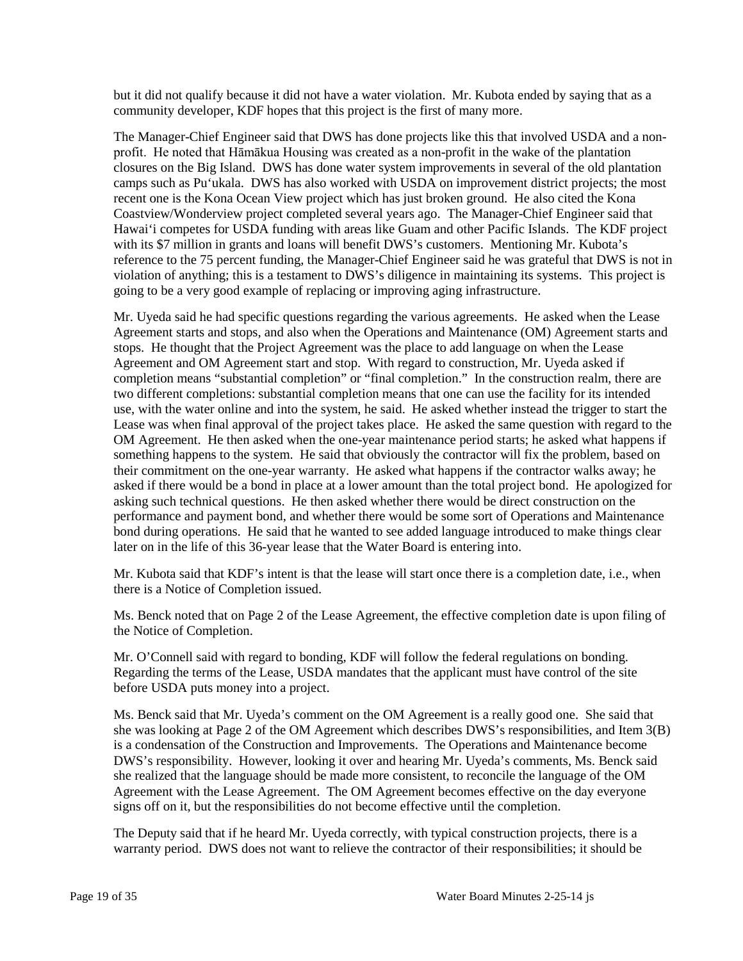but it did not qualify because it did not have a water violation. Mr. Kubota ended by saying that as a community developer, KDF hopes that this project is the first of many more.

The Manager-Chief Engineer said that DWS has done projects like this that involved USDA and a nonprofit. He noted that Hāmākua Housing was created as a non-profit in the wake of the plantation closures on the Big Island. DWS has done water system improvements in several of the old plantation camps such as Pu'ukala. DWS has also worked with USDA on improvement district projects; the most recent one is the Kona Ocean View project which has just broken ground. He also cited the Kona Coastview/Wonderview project completed several years ago. The Manager-Chief Engineer said that Hawai'i competes for USDA funding with areas like Guam and other Pacific Islands. The KDF project with its \$7 million in grants and loans will benefit DWS's customers. Mentioning Mr. Kubota's reference to the 75 percent funding, the Manager-Chief Engineer said he was grateful that DWS is not in violation of anything; this is a testament to DWS's diligence in maintaining its systems. This project is going to be a very good example of replacing or improving aging infrastructure.

Mr. Uyeda said he had specific questions regarding the various agreements. He asked when the Lease Agreement starts and stops, and also when the Operations and Maintenance (OM) Agreement starts and stops. He thought that the Project Agreement was the place to add language on when the Lease Agreement and OM Agreement start and stop. With regard to construction, Mr. Uyeda asked if completion means "substantial completion" or "final completion." In the construction realm, there are two different completions: substantial completion means that one can use the facility for its intended use, with the water online and into the system, he said. He asked whether instead the trigger to start the Lease was when final approval of the project takes place. He asked the same question with regard to the OM Agreement. He then asked when the one-year maintenance period starts; he asked what happens if something happens to the system. He said that obviously the contractor will fix the problem, based on their commitment on the one-year warranty. He asked what happens if the contractor walks away; he asked if there would be a bond in place at a lower amount than the total project bond. He apologized for asking such technical questions. He then asked whether there would be direct construction on the performance and payment bond, and whether there would be some sort of Operations and Maintenance bond during operations. He said that he wanted to see added language introduced to make things clear later on in the life of this 36-year lease that the Water Board is entering into.

Mr. Kubota said that KDF's intent is that the lease will start once there is a completion date, i.e., when there is a Notice of Completion issued.

Ms. Benck noted that on Page 2 of the Lease Agreement, the effective completion date is upon filing of the Notice of Completion.

Mr. O'Connell said with regard to bonding, KDF will follow the federal regulations on bonding. Regarding the terms of the Lease, USDA mandates that the applicant must have control of the site before USDA puts money into a project.

Ms. Benck said that Mr. Uyeda's comment on the OM Agreement is a really good one. She said that she was looking at Page 2 of the OM Agreement which describes DWS's responsibilities, and Item 3(B) is a condensation of the Construction and Improvements. The Operations and Maintenance become DWS's responsibility. However, looking it over and hearing Mr. Uyeda's comments, Ms. Benck said she realized that the language should be made more consistent, to reconcile the language of the OM Agreement with the Lease Agreement. The OM Agreement becomes effective on the day everyone signs off on it, but the responsibilities do not become effective until the completion.

The Deputy said that if he heard Mr. Uyeda correctly, with typical construction projects, there is a warranty period. DWS does not want to relieve the contractor of their responsibilities; it should be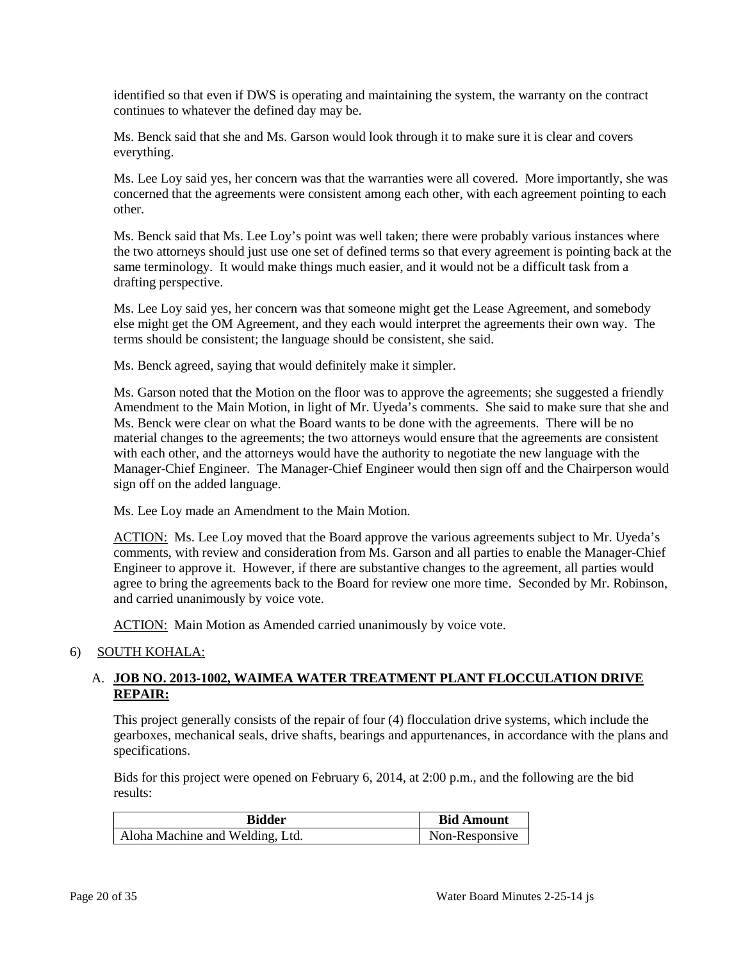identified so that even if DWS is operating and maintaining the system, the warranty on the contract continues to whatever the defined day may be.

Ms. Benck said that she and Ms. Garson would look through it to make sure it is clear and covers everything.

Ms. Lee Loy said yes, her concern was that the warranties were all covered. More importantly, she was concerned that the agreements were consistent among each other, with each agreement pointing to each other.

Ms. Benck said that Ms. Lee Loy's point was well taken; there were probably various instances where the two attorneys should just use one set of defined terms so that every agreement is pointing back at the same terminology. It would make things much easier, and it would not be a difficult task from a drafting perspective.

Ms. Lee Loy said yes, her concern was that someone might get the Lease Agreement, and somebody else might get the OM Agreement, and they each would interpret the agreements their own way. The terms should be consistent; the language should be consistent, she said.

Ms. Benck agreed, saying that would definitely make it simpler.

Ms. Garson noted that the Motion on the floor was to approve the agreements; she suggested a friendly Amendment to the Main Motion, in light of Mr. Uyeda's comments. She said to make sure that she and Ms. Benck were clear on what the Board wants to be done with the agreements. There will be no material changes to the agreements; the two attorneys would ensure that the agreements are consistent with each other, and the attorneys would have the authority to negotiate the new language with the Manager-Chief Engineer. The Manager-Chief Engineer would then sign off and the Chairperson would sign off on the added language.

Ms. Lee Loy made an Amendment to the Main Motion.

ACTION: Ms. Lee Loy moved that the Board approve the various agreements subject to Mr. Uyeda's comments, with review and consideration from Ms. Garson and all parties to enable the Manager-Chief Engineer to approve it. However, if there are substantive changes to the agreement, all parties would agree to bring the agreements back to the Board for review one more time. Seconded by Mr. Robinson, and carried unanimously by voice vote.

ACTION: Main Motion as Amended carried unanimously by voice vote.

#### 6) SOUTH KOHALA:

# A. **JOB NO. 2013-1002, WAIMEA WATER TREATMENT PLANT FLOCCULATION DRIVE REPAIR:**

This project generally consists of the repair of four (4) flocculation drive systems, which include the gearboxes, mechanical seals, drive shafts, bearings and appurtenances, in accordance with the plans and specifications.

Bids for this project were opened on February 6, 2014, at 2:00 p.m., and the following are the bid results:

| <b>Bidder</b>                   | <b>Bid Amount</b> |
|---------------------------------|-------------------|
| Aloha Machine and Welding, Ltd. | Non-Responsive    |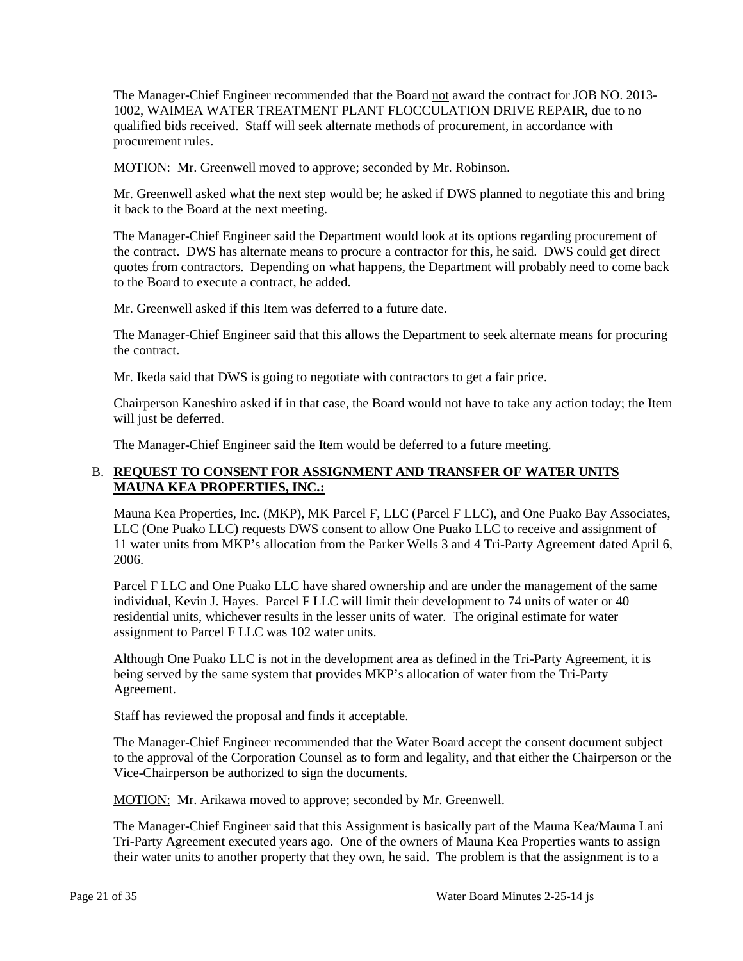The Manager-Chief Engineer recommended that the Board not award the contract for JOB NO. 2013- 1002, WAIMEA WATER TREATMENT PLANT FLOCCULATION DRIVE REPAIR, due to no qualified bids received. Staff will seek alternate methods of procurement, in accordance with procurement rules.

MOTION: Mr. Greenwell moved to approve; seconded by Mr. Robinson.

Mr. Greenwell asked what the next step would be; he asked if DWS planned to negotiate this and bring it back to the Board at the next meeting.

The Manager-Chief Engineer said the Department would look at its options regarding procurement of the contract. DWS has alternate means to procure a contractor for this, he said. DWS could get direct quotes from contractors. Depending on what happens, the Department will probably need to come back to the Board to execute a contract, he added.

Mr. Greenwell asked if this Item was deferred to a future date.

The Manager-Chief Engineer said that this allows the Department to seek alternate means for procuring the contract.

Mr. Ikeda said that DWS is going to negotiate with contractors to get a fair price.

Chairperson Kaneshiro asked if in that case, the Board would not have to take any action today; the Item will just be deferred.

The Manager-Chief Engineer said the Item would be deferred to a future meeting.

### B. **REQUEST TO CONSENT FOR ASSIGNMENT AND TRANSFER OF WATER UNITS MAUNA KEA PROPERTIES, INC.:**

Mauna Kea Properties, Inc. (MKP), MK Parcel F, LLC (Parcel F LLC), and One Puako Bay Associates, LLC (One Puako LLC) requests DWS consent to allow One Puako LLC to receive and assignment of 11 water units from MKP's allocation from the Parker Wells 3 and 4 Tri-Party Agreement dated April 6, 2006.

Parcel F LLC and One Puako LLC have shared ownership and are under the management of the same individual, Kevin J. Hayes. Parcel F LLC will limit their development to 74 units of water or 40 residential units, whichever results in the lesser units of water. The original estimate for water assignment to Parcel F LLC was 102 water units.

Although One Puako LLC is not in the development area as defined in the Tri-Party Agreement, it is being served by the same system that provides MKP's allocation of water from the Tri-Party Agreement.

Staff has reviewed the proposal and finds it acceptable.

The Manager-Chief Engineer recommended that the Water Board accept the consent document subject to the approval of the Corporation Counsel as to form and legality, and that either the Chairperson or the Vice-Chairperson be authorized to sign the documents.

MOTION: Mr. Arikawa moved to approve; seconded by Mr. Greenwell.

The Manager-Chief Engineer said that this Assignment is basically part of the Mauna Kea/Mauna Lani Tri-Party Agreement executed years ago. One of the owners of Mauna Kea Properties wants to assign their water units to another property that they own, he said. The problem is that the assignment is to a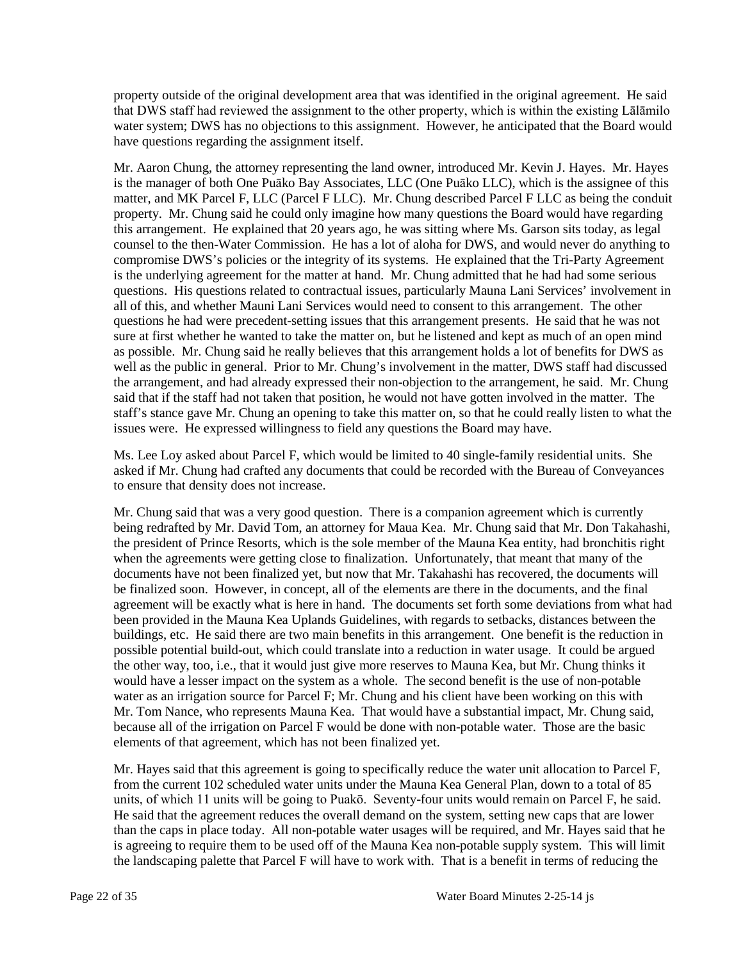property outside of the original development area that was identified in the original agreement. He said that DWS staff had reviewed the assignment to the other property, which is within the existing Lālāmilo water system; DWS has no objections to this assignment. However, he anticipated that the Board would have questions regarding the assignment itself.

Mr. Aaron Chung, the attorney representing the land owner, introduced Mr. Kevin J. Hayes. Mr. Hayes is the manager of both One Puāko Bay Associates, LLC (One Puāko LLC), which is the assignee of this matter, and MK Parcel F, LLC (Parcel F LLC). Mr. Chung described Parcel F LLC as being the conduit property. Mr. Chung said he could only imagine how many questions the Board would have regarding this arrangement. He explained that 20 years ago, he was sitting where Ms. Garson sits today, as legal counsel to the then-Water Commission. He has a lot of aloha for DWS, and would never do anything to compromise DWS's policies or the integrity of its systems. He explained that the Tri-Party Agreement is the underlying agreement for the matter at hand. Mr. Chung admitted that he had had some serious questions. His questions related to contractual issues, particularly Mauna Lani Services' involvement in all of this, and whether Mauni Lani Services would need to consent to this arrangement. The other questions he had were precedent-setting issues that this arrangement presents. He said that he was not sure at first whether he wanted to take the matter on, but he listened and kept as much of an open mind as possible. Mr. Chung said he really believes that this arrangement holds a lot of benefits for DWS as well as the public in general. Prior to Mr. Chung's involvement in the matter, DWS staff had discussed the arrangement, and had already expressed their non-objection to the arrangement, he said. Mr. Chung said that if the staff had not taken that position, he would not have gotten involved in the matter. The staff's stance gave Mr. Chung an opening to take this matter on, so that he could really listen to what the issues were. He expressed willingness to field any questions the Board may have.

Ms. Lee Loy asked about Parcel F, which would be limited to 40 single-family residential units. She asked if Mr. Chung had crafted any documents that could be recorded with the Bureau of Conveyances to ensure that density does not increase.

Mr. Chung said that was a very good question. There is a companion agreement which is currently being redrafted by Mr. David Tom, an attorney for Maua Kea. Mr. Chung said that Mr. Don Takahashi, the president of Prince Resorts, which is the sole member of the Mauna Kea entity, had bronchitis right when the agreements were getting close to finalization. Unfortunately, that meant that many of the documents have not been finalized yet, but now that Mr. Takahashi has recovered, the documents will be finalized soon. However, in concept, all of the elements are there in the documents, and the final agreement will be exactly what is here in hand. The documents set forth some deviations from what had been provided in the Mauna Kea Uplands Guidelines, with regards to setbacks, distances between the buildings, etc. He said there are two main benefits in this arrangement. One benefit is the reduction in possible potential build-out, which could translate into a reduction in water usage. It could be argued the other way, too, i.e., that it would just give more reserves to Mauna Kea, but Mr. Chung thinks it would have a lesser impact on the system as a whole. The second benefit is the use of non-potable water as an irrigation source for Parcel F; Mr. Chung and his client have been working on this with Mr. Tom Nance, who represents Mauna Kea. That would have a substantial impact, Mr. Chung said, because all of the irrigation on Parcel F would be done with non-potable water. Those are the basic elements of that agreement, which has not been finalized yet.

Mr. Hayes said that this agreement is going to specifically reduce the water unit allocation to Parcel F, from the current 102 scheduled water units under the Mauna Kea General Plan, down to a total of 85 units, of which 11 units will be going to Puakō. Seventy-four units would remain on Parcel F, he said. He said that the agreement reduces the overall demand on the system, setting new caps that are lower than the caps in place today. All non-potable water usages will be required, and Mr. Hayes said that he is agreeing to require them to be used off of the Mauna Kea non-potable supply system. This will limit the landscaping palette that Parcel F will have to work with. That is a benefit in terms of reducing the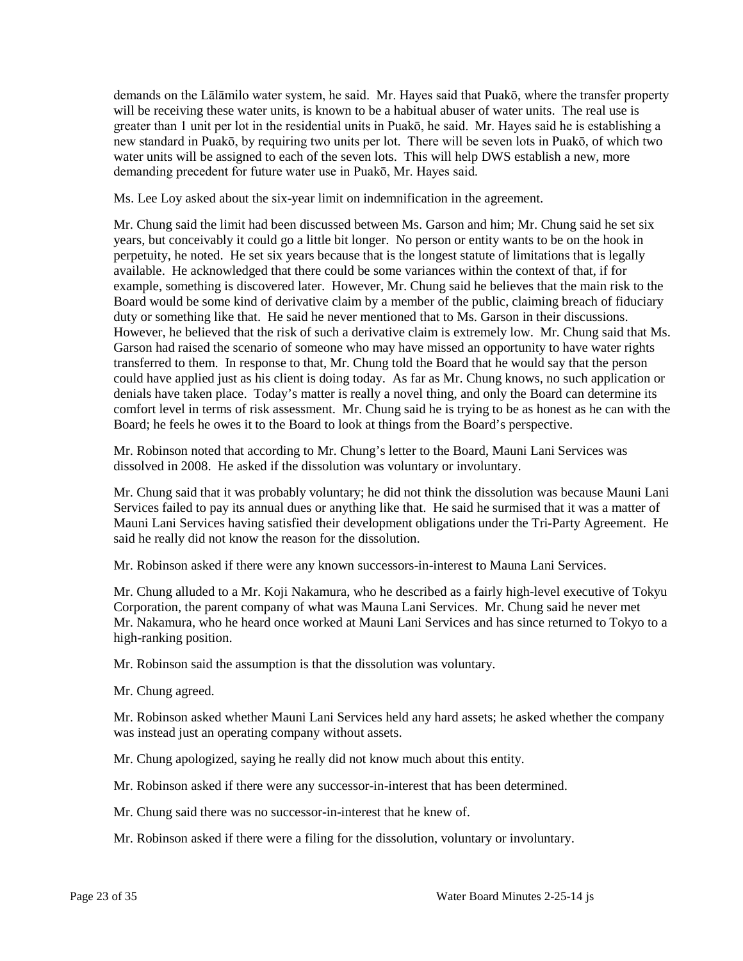demands on the Lālāmilo water system, he said. Mr. Hayes said that Puakō, where the transfer property will be receiving these water units, is known to be a habitual abuser of water units. The real use is greater than 1 unit per lot in the residential units in Puakō, he said. Mr. Hayes said he is establishing a new standard in Puakō, by requiring two units per lot. There will be seven lots in Puakō, of which two water units will be assigned to each of the seven lots. This will help DWS establish a new, more demanding precedent for future water use in Puakō, Mr. Hayes said.

Ms. Lee Loy asked about the six-year limit on indemnification in the agreement.

Mr. Chung said the limit had been discussed between Ms. Garson and him; Mr. Chung said he set six years, but conceivably it could go a little bit longer. No person or entity wants to be on the hook in perpetuity, he noted. He set six years because that is the longest statute of limitations that is legally available. He acknowledged that there could be some variances within the context of that, if for example, something is discovered later. However, Mr. Chung said he believes that the main risk to the Board would be some kind of derivative claim by a member of the public, claiming breach of fiduciary duty or something like that. He said he never mentioned that to Ms. Garson in their discussions. However, he believed that the risk of such a derivative claim is extremely low. Mr. Chung said that Ms. Garson had raised the scenario of someone who may have missed an opportunity to have water rights transferred to them. In response to that, Mr. Chung told the Board that he would say that the person could have applied just as his client is doing today. As far as Mr. Chung knows, no such application or denials have taken place. Today's matter is really a novel thing, and only the Board can determine its comfort level in terms of risk assessment. Mr. Chung said he is trying to be as honest as he can with the Board; he feels he owes it to the Board to look at things from the Board's perspective.

Mr. Robinson noted that according to Mr. Chung's letter to the Board, Mauni Lani Services was dissolved in 2008. He asked if the dissolution was voluntary or involuntary.

Mr. Chung said that it was probably voluntary; he did not think the dissolution was because Mauni Lani Services failed to pay its annual dues or anything like that. He said he surmised that it was a matter of Mauni Lani Services having satisfied their development obligations under the Tri-Party Agreement. He said he really did not know the reason for the dissolution.

Mr. Robinson asked if there were any known successors-in-interest to Mauna Lani Services.

Mr. Chung alluded to a Mr. Koji Nakamura, who he described as a fairly high-level executive of Tokyu Corporation, the parent company of what was Mauna Lani Services. Mr. Chung said he never met Mr. Nakamura, who he heard once worked at Mauni Lani Services and has since returned to Tokyo to a high-ranking position.

Mr. Robinson said the assumption is that the dissolution was voluntary.

Mr. Chung agreed.

Mr. Robinson asked whether Mauni Lani Services held any hard assets; he asked whether the company was instead just an operating company without assets.

Mr. Chung apologized, saying he really did not know much about this entity.

Mr. Robinson asked if there were any successor-in-interest that has been determined.

Mr. Chung said there was no successor-in-interest that he knew of.

Mr. Robinson asked if there were a filing for the dissolution, voluntary or involuntary.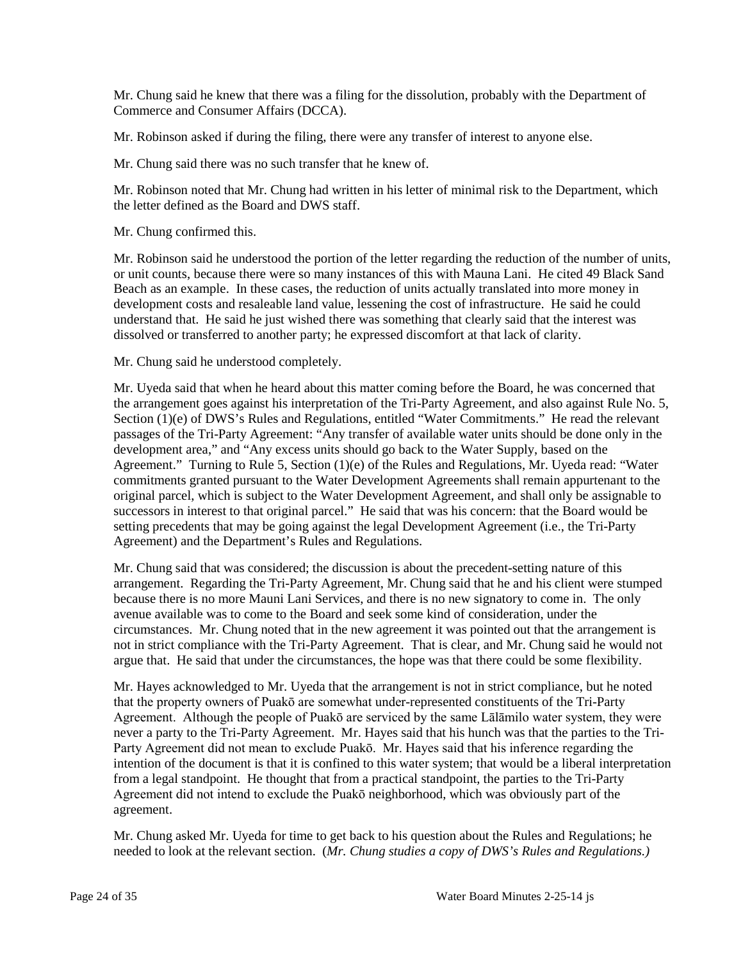Mr. Chung said he knew that there was a filing for the dissolution, probably with the Department of Commerce and Consumer Affairs (DCCA).

Mr. Robinson asked if during the filing, there were any transfer of interest to anyone else.

Mr. Chung said there was no such transfer that he knew of.

Mr. Robinson noted that Mr. Chung had written in his letter of minimal risk to the Department, which the letter defined as the Board and DWS staff.

Mr. Chung confirmed this.

Mr. Robinson said he understood the portion of the letter regarding the reduction of the number of units, or unit counts, because there were so many instances of this with Mauna Lani. He cited 49 Black Sand Beach as an example. In these cases, the reduction of units actually translated into more money in development costs and resaleable land value, lessening the cost of infrastructure. He said he could understand that. He said he just wished there was something that clearly said that the interest was dissolved or transferred to another party; he expressed discomfort at that lack of clarity.

Mr. Chung said he understood completely.

Mr. Uyeda said that when he heard about this matter coming before the Board, he was concerned that the arrangement goes against his interpretation of the Tri-Party Agreement, and also against Rule No. 5, Section (1)(e) of DWS's Rules and Regulations, entitled "Water Commitments." He read the relevant passages of the Tri-Party Agreement: "Any transfer of available water units should be done only in the development area," and "Any excess units should go back to the Water Supply, based on the Agreement." Turning to Rule 5, Section (1)(e) of the Rules and Regulations, Mr. Uyeda read: "Water commitments granted pursuant to the Water Development Agreements shall remain appurtenant to the original parcel, which is subject to the Water Development Agreement, and shall only be assignable to successors in interest to that original parcel." He said that was his concern: that the Board would be setting precedents that may be going against the legal Development Agreement (i.e., the Tri-Party Agreement) and the Department's Rules and Regulations.

Mr. Chung said that was considered; the discussion is about the precedent-setting nature of this arrangement. Regarding the Tri-Party Agreement, Mr. Chung said that he and his client were stumped because there is no more Mauni Lani Services, and there is no new signatory to come in. The only avenue available was to come to the Board and seek some kind of consideration, under the circumstances. Mr. Chung noted that in the new agreement it was pointed out that the arrangement is not in strict compliance with the Tri-Party Agreement. That is clear, and Mr. Chung said he would not argue that. He said that under the circumstances, the hope was that there could be some flexibility.

Mr. Hayes acknowledged to Mr. Uyeda that the arrangement is not in strict compliance, but he noted that the property owners of Puakō are somewhat under-represented constituents of the Tri-Party Agreement. Although the people of Puakō are serviced by the same Lālāmilo water system, they were never a party to the Tri-Party Agreement. Mr. Hayes said that his hunch was that the parties to the Tri-Party Agreement did not mean to exclude Puakō. Mr. Hayes said that his inference regarding the intention of the document is that it is confined to this water system; that would be a liberal interpretation from a legal standpoint. He thought that from a practical standpoint, the parties to the Tri-Party Agreement did not intend to exclude the Puakō neighborhood, which was obviously part of the agreement.

Mr. Chung asked Mr. Uyeda for time to get back to his question about the Rules and Regulations; he needed to look at the relevant section. (*Mr. Chung studies a copy of DWS's Rules and Regulations.)*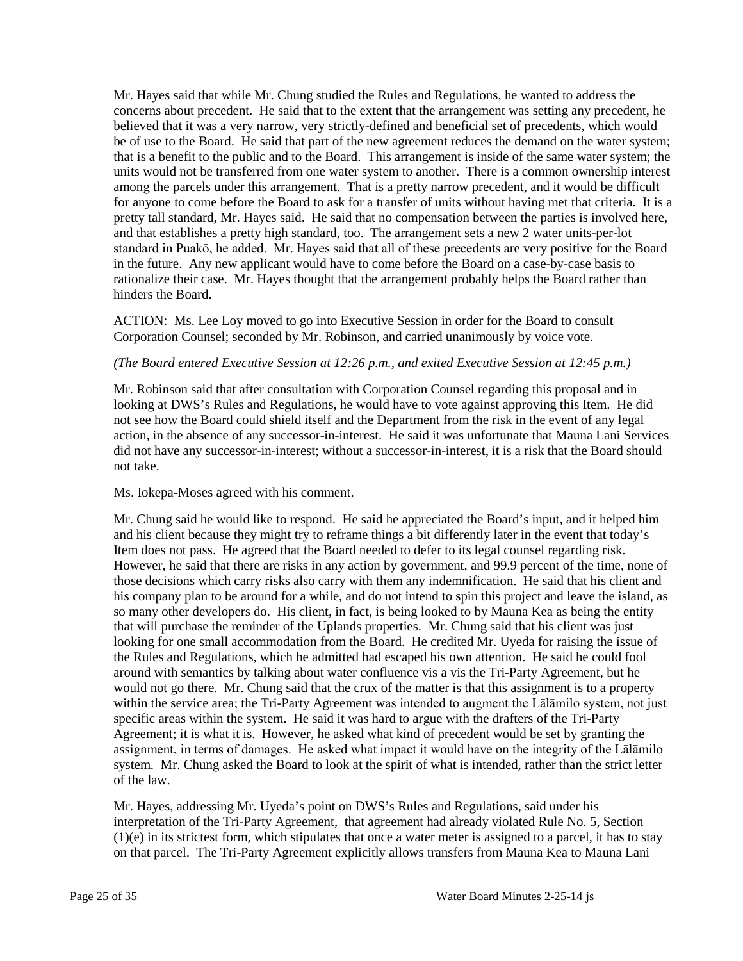Mr. Hayes said that while Mr. Chung studied the Rules and Regulations, he wanted to address the concerns about precedent. He said that to the extent that the arrangement was setting any precedent, he believed that it was a very narrow, very strictly-defined and beneficial set of precedents, which would be of use to the Board. He said that part of the new agreement reduces the demand on the water system; that is a benefit to the public and to the Board. This arrangement is inside of the same water system; the units would not be transferred from one water system to another. There is a common ownership interest among the parcels under this arrangement. That is a pretty narrow precedent, and it would be difficult for anyone to come before the Board to ask for a transfer of units without having met that criteria. It is a pretty tall standard, Mr. Hayes said. He said that no compensation between the parties is involved here, and that establishes a pretty high standard, too. The arrangement sets a new 2 water units-per-lot standard in Puakō, he added. Mr. Hayes said that all of these precedents are very positive for the Board in the future. Any new applicant would have to come before the Board on a case-by-case basis to rationalize their case. Mr. Hayes thought that the arrangement probably helps the Board rather than hinders the Board.

ACTION: Ms. Lee Loy moved to go into Executive Session in order for the Board to consult Corporation Counsel; seconded by Mr. Robinson, and carried unanimously by voice vote.

#### *(The Board entered Executive Session at 12:26 p.m., and exited Executive Session at 12:45 p.m.)*

Mr. Robinson said that after consultation with Corporation Counsel regarding this proposal and in looking at DWS's Rules and Regulations, he would have to vote against approving this Item. He did not see how the Board could shield itself and the Department from the risk in the event of any legal action, in the absence of any successor-in-interest. He said it was unfortunate that Mauna Lani Services did not have any successor-in-interest; without a successor-in-interest, it is a risk that the Board should not take.

#### Ms. Iokepa-Moses agreed with his comment.

Mr. Chung said he would like to respond. He said he appreciated the Board's input, and it helped him and his client because they might try to reframe things a bit differently later in the event that today's Item does not pass. He agreed that the Board needed to defer to its legal counsel regarding risk. However, he said that there are risks in any action by government, and 99.9 percent of the time, none of those decisions which carry risks also carry with them any indemnification. He said that his client and his company plan to be around for a while, and do not intend to spin this project and leave the island, as so many other developers do. His client, in fact, is being looked to by Mauna Kea as being the entity that will purchase the reminder of the Uplands properties. Mr. Chung said that his client was just looking for one small accommodation from the Board. He credited Mr. Uyeda for raising the issue of the Rules and Regulations, which he admitted had escaped his own attention. He said he could fool around with semantics by talking about water confluence vis a vis the Tri-Party Agreement, but he would not go there. Mr. Chung said that the crux of the matter is that this assignment is to a property within the service area; the Tri-Party Agreement was intended to augment the Lālāmilo system, not just specific areas within the system. He said it was hard to argue with the drafters of the Tri-Party Agreement; it is what it is. However, he asked what kind of precedent would be set by granting the assignment, in terms of damages. He asked what impact it would have on the integrity of the Lālāmilo system. Mr. Chung asked the Board to look at the spirit of what is intended, rather than the strict letter of the law.

Mr. Hayes, addressing Mr. Uyeda's point on DWS's Rules and Regulations, said under his interpretation of the Tri-Party Agreement, that agreement had already violated Rule No. 5, Section (1)(e) in its strictest form, which stipulates that once a water meter is assigned to a parcel, it has to stay on that parcel. The Tri-Party Agreement explicitly allows transfers from Mauna Kea to Mauna Lani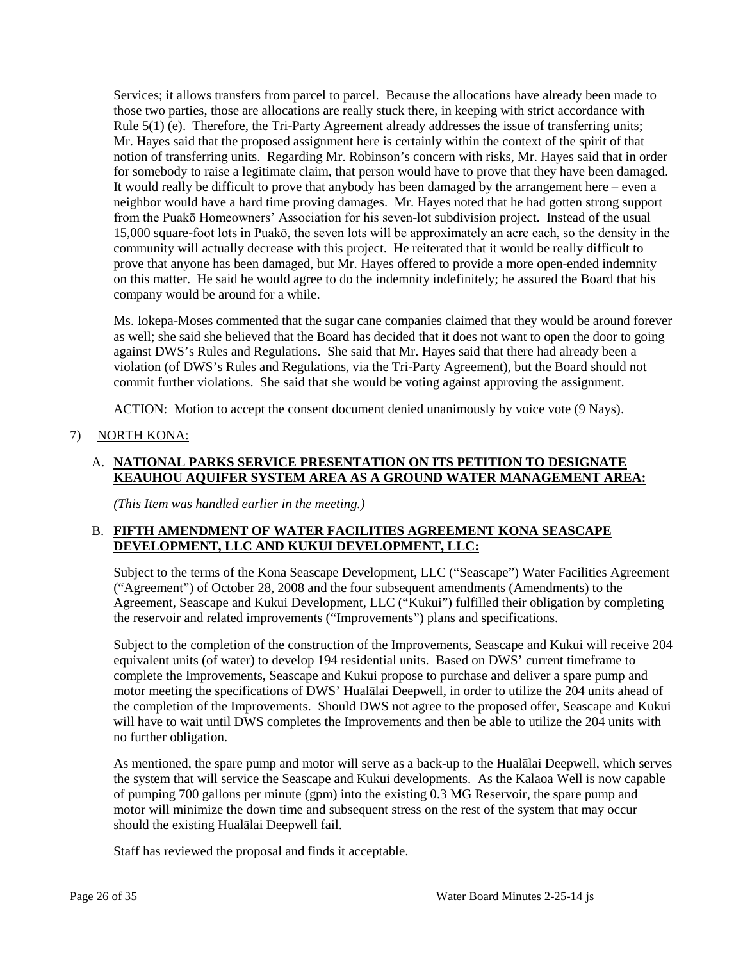Services; it allows transfers from parcel to parcel. Because the allocations have already been made to those two parties, those are allocations are really stuck there, in keeping with strict accordance with Rule 5(1) (e). Therefore, the Tri-Party Agreement already addresses the issue of transferring units; Mr. Hayes said that the proposed assignment here is certainly within the context of the spirit of that notion of transferring units. Regarding Mr. Robinson's concern with risks, Mr. Hayes said that in order for somebody to raise a legitimate claim, that person would have to prove that they have been damaged. It would really be difficult to prove that anybody has been damaged by the arrangement here – even a neighbor would have a hard time proving damages. Mr. Hayes noted that he had gotten strong support from the Puakō Homeowners' Association for his seven-lot subdivision project. Instead of the usual 15,000 square-foot lots in Puakō, the seven lots will be approximately an acre each, so the density in the community will actually decrease with this project. He reiterated that it would be really difficult to prove that anyone has been damaged, but Mr. Hayes offered to provide a more open-ended indemnity on this matter. He said he would agree to do the indemnity indefinitely; he assured the Board that his company would be around for a while.

Ms. Iokepa-Moses commented that the sugar cane companies claimed that they would be around forever as well; she said she believed that the Board has decided that it does not want to open the door to going against DWS's Rules and Regulations. She said that Mr. Hayes said that there had already been a violation (of DWS's Rules and Regulations, via the Tri-Party Agreement), but the Board should not commit further violations. She said that she would be voting against approving the assignment.

ACTION: Motion to accept the consent document denied unanimously by voice vote (9 Nays).

# 7) NORTH KONA:

## A. **NATIONAL PARKS SERVICE PRESENTATION ON ITS PETITION TO DESIGNATE KEAUHOU AQUIFER SYSTEM AREA AS A GROUND WATER MANAGEMENT AREA:**

*(This Item was handled earlier in the meeting.)*

# B. **FIFTH AMENDMENT OF WATER FACILITIES AGREEMENT KONA SEASCAPE DEVELOPMENT, LLC AND KUKUI DEVELOPMENT, LLC:**

Subject to the terms of the Kona Seascape Development, LLC ("Seascape") Water Facilities Agreement ("Agreement") of October 28, 2008 and the four subsequent amendments (Amendments) to the Agreement, Seascape and Kukui Development, LLC ("Kukui") fulfilled their obligation by completing the reservoir and related improvements ("Improvements") plans and specifications.

Subject to the completion of the construction of the Improvements, Seascape and Kukui will receive 204 equivalent units (of water) to develop 194 residential units. Based on DWS' current timeframe to complete the Improvements, Seascape and Kukui propose to purchase and deliver a spare pump and motor meeting the specifications of DWS' Hualālai Deepwell, in order to utilize the 204 units ahead of the completion of the Improvements. Should DWS not agree to the proposed offer, Seascape and Kukui will have to wait until DWS completes the Improvements and then be able to utilize the 204 units with no further obligation.

As mentioned, the spare pump and motor will serve as a back-up to the Hualālai Deepwell, which serves the system that will service the Seascape and Kukui developments. As the Kalaoa Well is now capable of pumping 700 gallons per minute (gpm) into the existing 0.3 MG Reservoir, the spare pump and motor will minimize the down time and subsequent stress on the rest of the system that may occur should the existing Hualālai Deepwell fail.

Staff has reviewed the proposal and finds it acceptable.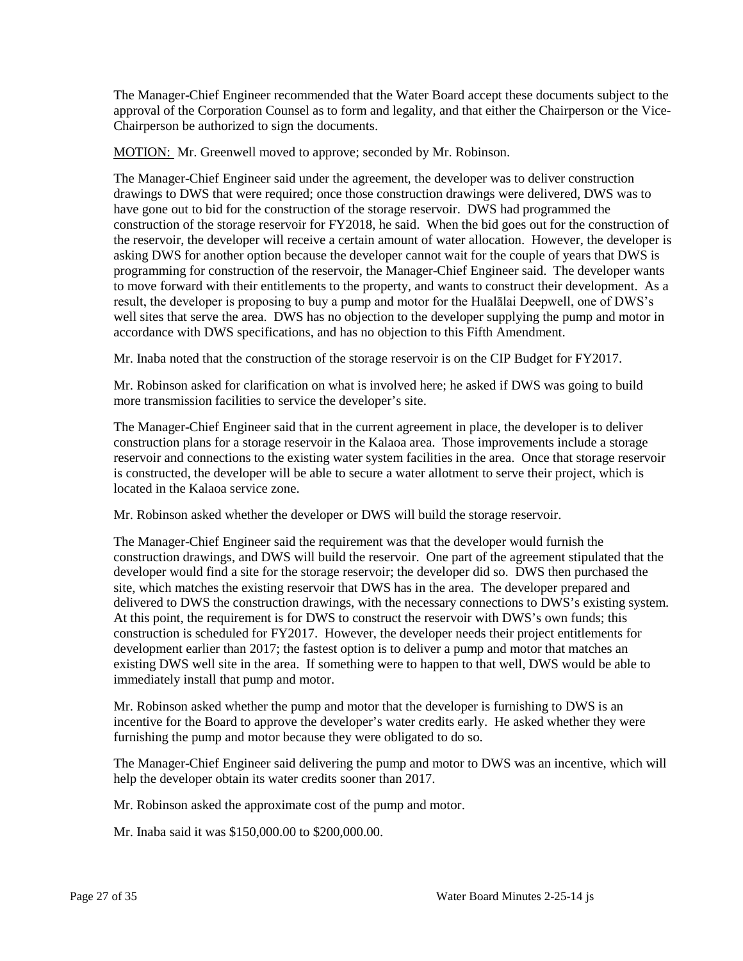The Manager-Chief Engineer recommended that the Water Board accept these documents subject to the approval of the Corporation Counsel as to form and legality, and that either the Chairperson or the Vice-Chairperson be authorized to sign the documents.

MOTION: Mr. Greenwell moved to approve; seconded by Mr. Robinson.

The Manager-Chief Engineer said under the agreement, the developer was to deliver construction drawings to DWS that were required; once those construction drawings were delivered, DWS was to have gone out to bid for the construction of the storage reservoir. DWS had programmed the construction of the storage reservoir for FY2018, he said. When the bid goes out for the construction of the reservoir, the developer will receive a certain amount of water allocation. However, the developer is asking DWS for another option because the developer cannot wait for the couple of years that DWS is programming for construction of the reservoir, the Manager-Chief Engineer said. The developer wants to move forward with their entitlements to the property, and wants to construct their development. As a result, the developer is proposing to buy a pump and motor for the Hualālai Deepwell, one of DWS's well sites that serve the area. DWS has no objection to the developer supplying the pump and motor in accordance with DWS specifications, and has no objection to this Fifth Amendment.

Mr. Inaba noted that the construction of the storage reservoir is on the CIP Budget for FY2017.

Mr. Robinson asked for clarification on what is involved here; he asked if DWS was going to build more transmission facilities to service the developer's site.

The Manager-Chief Engineer said that in the current agreement in place, the developer is to deliver construction plans for a storage reservoir in the Kalaoa area. Those improvements include a storage reservoir and connections to the existing water system facilities in the area. Once that storage reservoir is constructed, the developer will be able to secure a water allotment to serve their project, which is located in the Kalaoa service zone.

Mr. Robinson asked whether the developer or DWS will build the storage reservoir.

The Manager-Chief Engineer said the requirement was that the developer would furnish the construction drawings, and DWS will build the reservoir. One part of the agreement stipulated that the developer would find a site for the storage reservoir; the developer did so. DWS then purchased the site, which matches the existing reservoir that DWS has in the area. The developer prepared and delivered to DWS the construction drawings, with the necessary connections to DWS's existing system. At this point, the requirement is for DWS to construct the reservoir with DWS's own funds; this construction is scheduled for FY2017. However, the developer needs their project entitlements for development earlier than 2017; the fastest option is to deliver a pump and motor that matches an existing DWS well site in the area. If something were to happen to that well, DWS would be able to immediately install that pump and motor.

Mr. Robinson asked whether the pump and motor that the developer is furnishing to DWS is an incentive for the Board to approve the developer's water credits early. He asked whether they were furnishing the pump and motor because they were obligated to do so.

The Manager-Chief Engineer said delivering the pump and motor to DWS was an incentive, which will help the developer obtain its water credits sooner than 2017.

Mr. Robinson asked the approximate cost of the pump and motor.

Mr. Inaba said it was \$150,000.00 to \$200,000.00.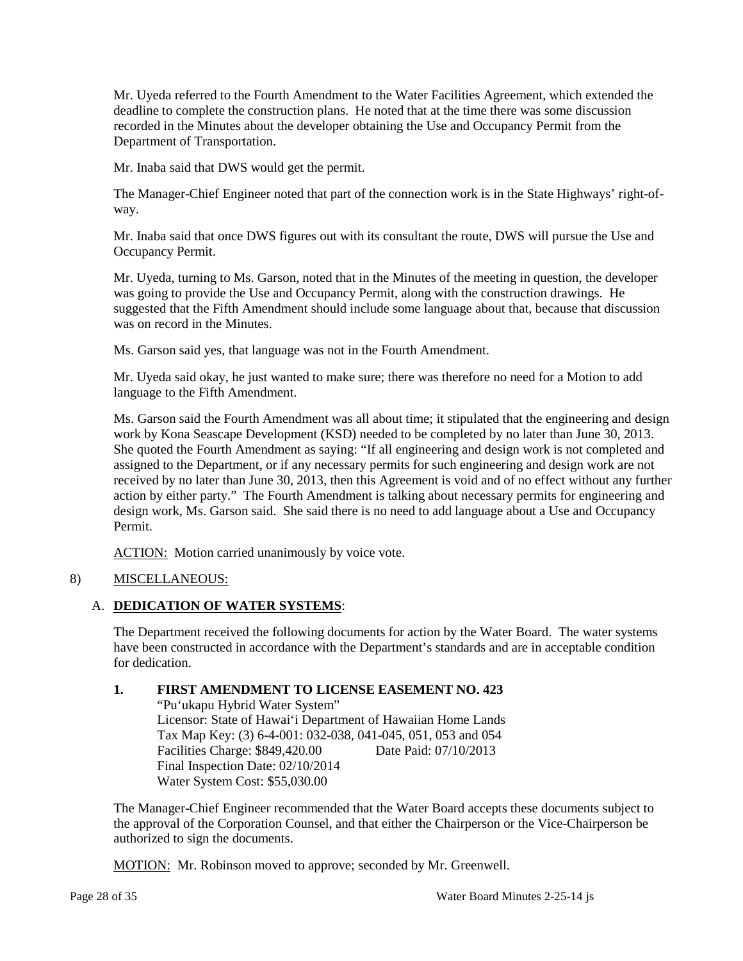Mr. Uyeda referred to the Fourth Amendment to the Water Facilities Agreement, which extended the deadline to complete the construction plans. He noted that at the time there was some discussion recorded in the Minutes about the developer obtaining the Use and Occupancy Permit from the Department of Transportation.

Mr. Inaba said that DWS would get the permit.

The Manager-Chief Engineer noted that part of the connection work is in the State Highways' right-ofway.

Mr. Inaba said that once DWS figures out with its consultant the route, DWS will pursue the Use and Occupancy Permit.

Mr. Uyeda, turning to Ms. Garson, noted that in the Minutes of the meeting in question, the developer was going to provide the Use and Occupancy Permit, along with the construction drawings. He suggested that the Fifth Amendment should include some language about that, because that discussion was on record in the Minutes.

Ms. Garson said yes, that language was not in the Fourth Amendment.

Mr. Uyeda said okay, he just wanted to make sure; there was therefore no need for a Motion to add language to the Fifth Amendment.

Ms. Garson said the Fourth Amendment was all about time; it stipulated that the engineering and design work by Kona Seascape Development (KSD) needed to be completed by no later than June 30, 2013. She quoted the Fourth Amendment as saying: "If all engineering and design work is not completed and assigned to the Department, or if any necessary permits for such engineering and design work are not received by no later than June 30, 2013, then this Agreement is void and of no effect without any further action by either party." The Fourth Amendment is talking about necessary permits for engineering and design work, Ms. Garson said. She said there is no need to add language about a Use and Occupancy Permit.

ACTION: Motion carried unanimously by voice vote.

# 8) MISCELLANEOUS:

# A. **DEDICATION OF WATER SYSTEMS**:

The Department received the following documents for action by the Water Board. The water systems have been constructed in accordance with the Department's standards and are in acceptable condition for dedication.

# **1. FIRST AMENDMENT TO LICENSE EASEMENT NO. 423**

"Pu'ukapu Hybrid Water System" Licensor: State of Hawai'i Department of Hawaiian Home Lands Tax Map Key: (3) 6-4-001: 032-038, 041-045, 051, 053 and 054 Facilities Charge: \$849,420.00 Date Paid: 07/10/2013 Final Inspection Date: 02/10/2014 Water System Cost: \$55,030.00

The Manager-Chief Engineer recommended that the Water Board accepts these documents subject to the approval of the Corporation Counsel, and that either the Chairperson or the Vice-Chairperson be authorized to sign the documents.

MOTION: Mr. Robinson moved to approve; seconded by Mr. Greenwell.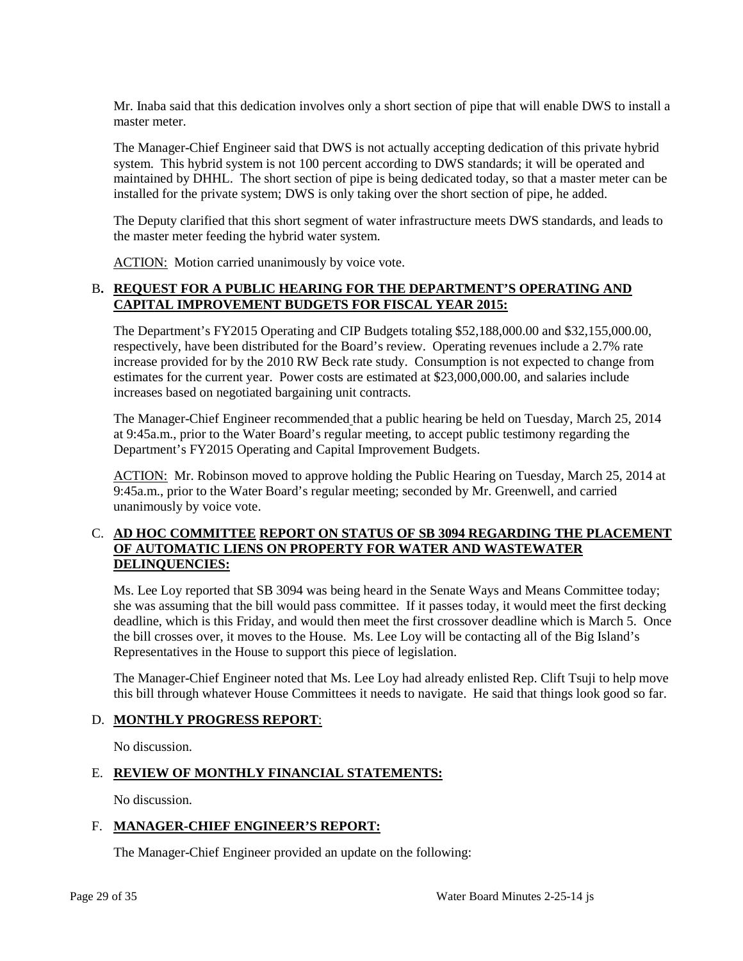Mr. Inaba said that this dedication involves only a short section of pipe that will enable DWS to install a master meter.

The Manager-Chief Engineer said that DWS is not actually accepting dedication of this private hybrid system. This hybrid system is not 100 percent according to DWS standards; it will be operated and maintained by DHHL. The short section of pipe is being dedicated today, so that a master meter can be installed for the private system; DWS is only taking over the short section of pipe, he added.

The Deputy clarified that this short segment of water infrastructure meets DWS standards, and leads to the master meter feeding the hybrid water system.

ACTION: Motion carried unanimously by voice vote.

# B**. REQUEST FOR A PUBLIC HEARING FOR THE DEPARTMENT'S OPERATING AND CAPITAL IMPROVEMENT BUDGETS FOR FISCAL YEAR 2015:**

The Department's FY2015 Operating and CIP Budgets totaling \$52,188,000.00 and \$32,155,000.00, respectively, have been distributed for the Board's review. Operating revenues include a 2.7% rate increase provided for by the 2010 RW Beck rate study. Consumption is not expected to change from estimates for the current year. Power costs are estimated at \$23,000,000.00, and salaries include increases based on negotiated bargaining unit contracts.

The Manager-Chief Engineer recommended that a public hearing be held on Tuesday, March 25, 2014 at 9:45a.m., prior to the Water Board's regular meeting, to accept public testimony regarding the Department's FY2015 Operating and Capital Improvement Budgets.

ACTION: Mr. Robinson moved to approve holding the Public Hearing on Tuesday, March 25, 2014 at 9:45a.m., prior to the Water Board's regular meeting; seconded by Mr. Greenwell, and carried unanimously by voice vote.

#### C. **AD HOC COMMITTEE REPORT ON STATUS OF SB 3094 REGARDING THE PLACEMENT OF AUTOMATIC LIENS ON PROPERTY FOR WATER AND WASTEWATER DELINQUENCIES:**

Ms. Lee Loy reported that SB 3094 was being heard in the Senate Ways and Means Committee today; she was assuming that the bill would pass committee. If it passes today, it would meet the first decking deadline, which is this Friday, and would then meet the first crossover deadline which is March 5. Once the bill crosses over, it moves to the House. Ms. Lee Loy will be contacting all of the Big Island's Representatives in the House to support this piece of legislation.

The Manager-Chief Engineer noted that Ms. Lee Loy had already enlisted Rep. Clift Tsuji to help move this bill through whatever House Committees it needs to navigate. He said that things look good so far.

#### D. **MONTHLY PROGRESS REPORT**:

No discussion.

#### E. **REVIEW OF MONTHLY FINANCIAL STATEMENTS:**

No discussion.

#### F. **MANAGER-CHIEF ENGINEER'S REPORT:**

The Manager-Chief Engineer provided an update on the following: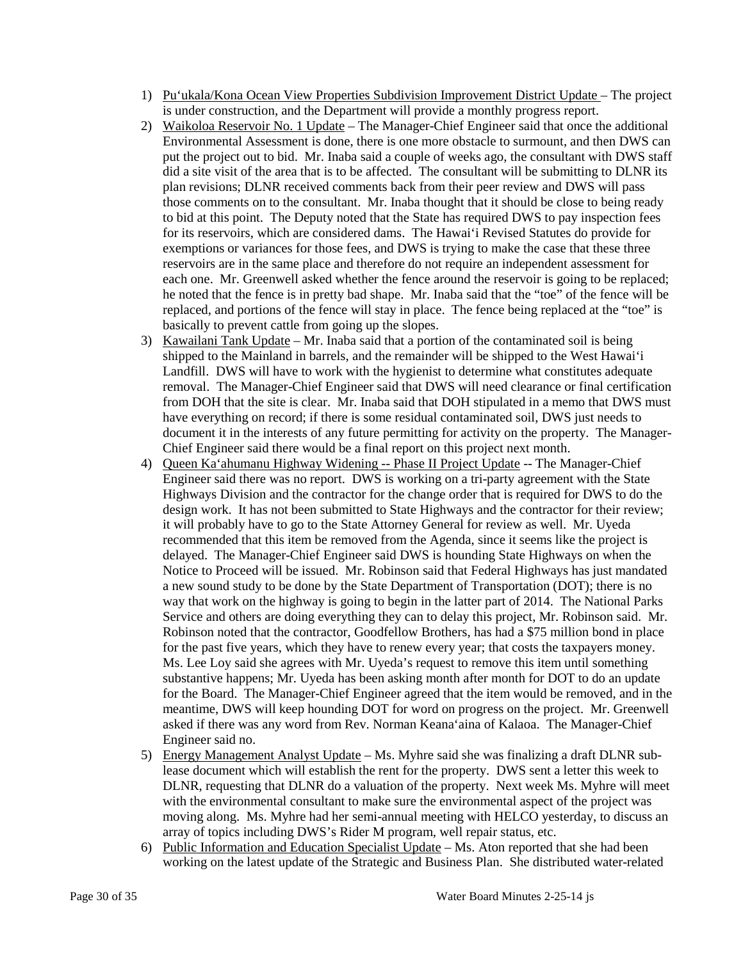- 1) Pu'ukala/Kona Ocean View Properties Subdivision Improvement District Update The project is under construction, and the Department will provide a monthly progress report.
- 2) Waikoloa Reservoir No. 1 Update The Manager-Chief Engineer said that once the additional Environmental Assessment is done, there is one more obstacle to surmount, and then DWS can put the project out to bid. Mr. Inaba said a couple of weeks ago, the consultant with DWS staff did a site visit of the area that is to be affected. The consultant will be submitting to DLNR its plan revisions; DLNR received comments back from their peer review and DWS will pass those comments on to the consultant. Mr. Inaba thought that it should be close to being ready to bid at this point. The Deputy noted that the State has required DWS to pay inspection fees for its reservoirs, which are considered dams. The Hawai'i Revised Statutes do provide for exemptions or variances for those fees, and DWS is trying to make the case that these three reservoirs are in the same place and therefore do not require an independent assessment for each one. Mr. Greenwell asked whether the fence around the reservoir is going to be replaced; he noted that the fence is in pretty bad shape. Mr. Inaba said that the "toe" of the fence will be replaced, and portions of the fence will stay in place. The fence being replaced at the "toe" is basically to prevent cattle from going up the slopes.
- 3) Kawailani Tank Update Mr. Inaba said that a portion of the contaminated soil is being shipped to the Mainland in barrels, and the remainder will be shipped to the West Hawai'i Landfill. DWS will have to work with the hygienist to determine what constitutes adequate removal. The Manager-Chief Engineer said that DWS will need clearance or final certification from DOH that the site is clear. Mr. Inaba said that DOH stipulated in a memo that DWS must have everything on record; if there is some residual contaminated soil, DWS just needs to document it in the interests of any future permitting for activity on the property. The Manager-Chief Engineer said there would be a final report on this project next month.
- 4) Queen Ka'ahumanu Highway Widening -- Phase II Project Update -- The Manager-Chief Engineer said there was no report. DWS is working on a tri-party agreement with the State Highways Division and the contractor for the change order that is required for DWS to do the design work. It has not been submitted to State Highways and the contractor for their review; it will probably have to go to the State Attorney General for review as well. Mr. Uyeda recommended that this item be removed from the Agenda, since it seems like the project is delayed. The Manager-Chief Engineer said DWS is hounding State Highways on when the Notice to Proceed will be issued. Mr. Robinson said that Federal Highways has just mandated a new sound study to be done by the State Department of Transportation (DOT); there is no way that work on the highway is going to begin in the latter part of 2014. The National Parks Service and others are doing everything they can to delay this project, Mr. Robinson said. Mr. Robinson noted that the contractor, Goodfellow Brothers, has had a \$75 million bond in place for the past five years, which they have to renew every year; that costs the taxpayers money. Ms. Lee Loy said she agrees with Mr. Uyeda's request to remove this item until something substantive happens; Mr. Uyeda has been asking month after month for DOT to do an update for the Board. The Manager-Chief Engineer agreed that the item would be removed, and in the meantime, DWS will keep hounding DOT for word on progress on the project. Mr. Greenwell asked if there was any word from Rev. Norman Keana'aina of Kalaoa. The Manager-Chief Engineer said no.
- 5) Energy Management Analyst Update Ms. Myhre said she was finalizing a draft DLNR sublease document which will establish the rent for the property. DWS sent a letter this week to DLNR, requesting that DLNR do a valuation of the property. Next week Ms. Myhre will meet with the environmental consultant to make sure the environmental aspect of the project was moving along. Ms. Myhre had her semi-annual meeting with HELCO yesterday, to discuss an array of topics including DWS's Rider M program, well repair status, etc.
- 6) Public Information and Education Specialist Update Ms. Aton reported that she had been working on the latest update of the Strategic and Business Plan. She distributed water-related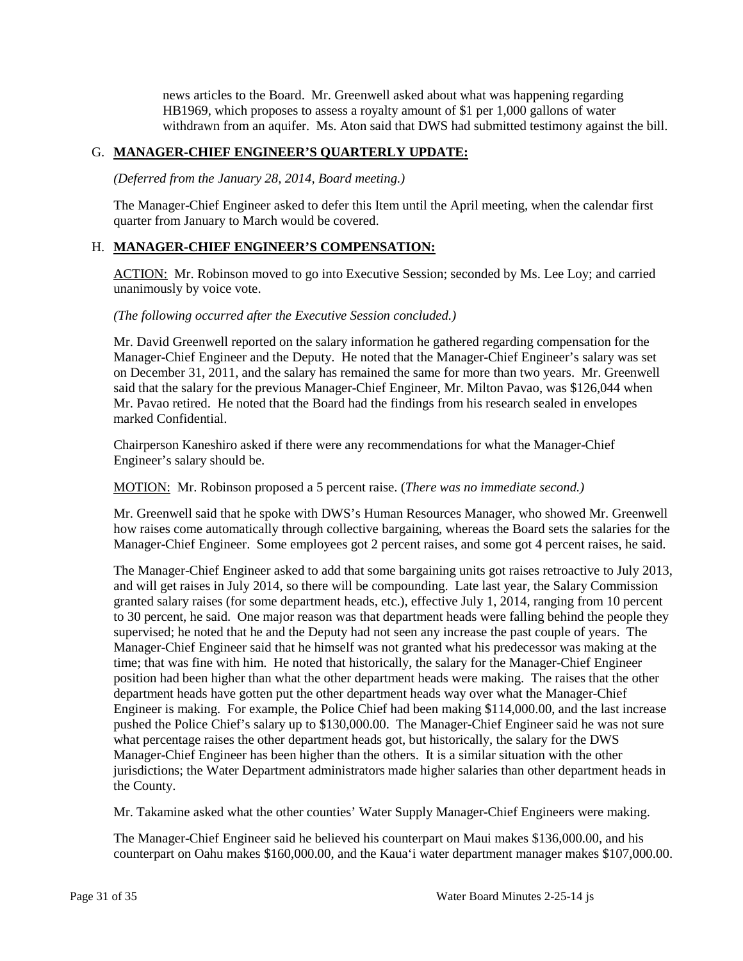news articles to the Board. Mr. Greenwell asked about what was happening regarding HB1969, which proposes to assess a royalty amount of \$1 per 1,000 gallons of water withdrawn from an aquifer. Ms. Aton said that DWS had submitted testimony against the bill.

#### G. **MANAGER-CHIEF ENGINEER'S QUARTERLY UPDATE:**

*(Deferred from the January 28, 2014, Board meeting.)*

The Manager-Chief Engineer asked to defer this Item until the April meeting, when the calendar first quarter from January to March would be covered.

### H. **MANAGER-CHIEF ENGINEER'S COMPENSATION:**

ACTION: Mr. Robinson moved to go into Executive Session; seconded by Ms. Lee Loy; and carried unanimously by voice vote.

#### *(The following occurred after the Executive Session concluded.)*

Mr. David Greenwell reported on the salary information he gathered regarding compensation for the Manager-Chief Engineer and the Deputy. He noted that the Manager-Chief Engineer's salary was set on December 31, 2011, and the salary has remained the same for more than two years. Mr. Greenwell said that the salary for the previous Manager-Chief Engineer, Mr. Milton Pavao, was \$126,044 when Mr. Pavao retired. He noted that the Board had the findings from his research sealed in envelopes marked Confidential.

Chairperson Kaneshiro asked if there were any recommendations for what the Manager-Chief Engineer's salary should be.

MOTION: Mr. Robinson proposed a 5 percent raise. (*There was no immediate second.)*

Mr. Greenwell said that he spoke with DWS's Human Resources Manager, who showed Mr. Greenwell how raises come automatically through collective bargaining, whereas the Board sets the salaries for the Manager-Chief Engineer. Some employees got 2 percent raises, and some got 4 percent raises, he said.

The Manager-Chief Engineer asked to add that some bargaining units got raises retroactive to July 2013, and will get raises in July 2014, so there will be compounding. Late last year, the Salary Commission granted salary raises (for some department heads, etc.), effective July 1, 2014, ranging from 10 percent to 30 percent, he said. One major reason was that department heads were falling behind the people they supervised; he noted that he and the Deputy had not seen any increase the past couple of years. The Manager-Chief Engineer said that he himself was not granted what his predecessor was making at the time; that was fine with him. He noted that historically, the salary for the Manager-Chief Engineer position had been higher than what the other department heads were making. The raises that the other department heads have gotten put the other department heads way over what the Manager-Chief Engineer is making. For example, the Police Chief had been making \$114,000.00, and the last increase pushed the Police Chief's salary up to \$130,000.00. The Manager-Chief Engineer said he was not sure what percentage raises the other department heads got, but historically, the salary for the DWS Manager-Chief Engineer has been higher than the others. It is a similar situation with the other jurisdictions; the Water Department administrators made higher salaries than other department heads in the County.

Mr. Takamine asked what the other counties' Water Supply Manager-Chief Engineers were making.

The Manager-Chief Engineer said he believed his counterpart on Maui makes \$136,000.00, and his counterpart on Oahu makes \$160,000.00, and the Kaua'i water department manager makes \$107,000.00.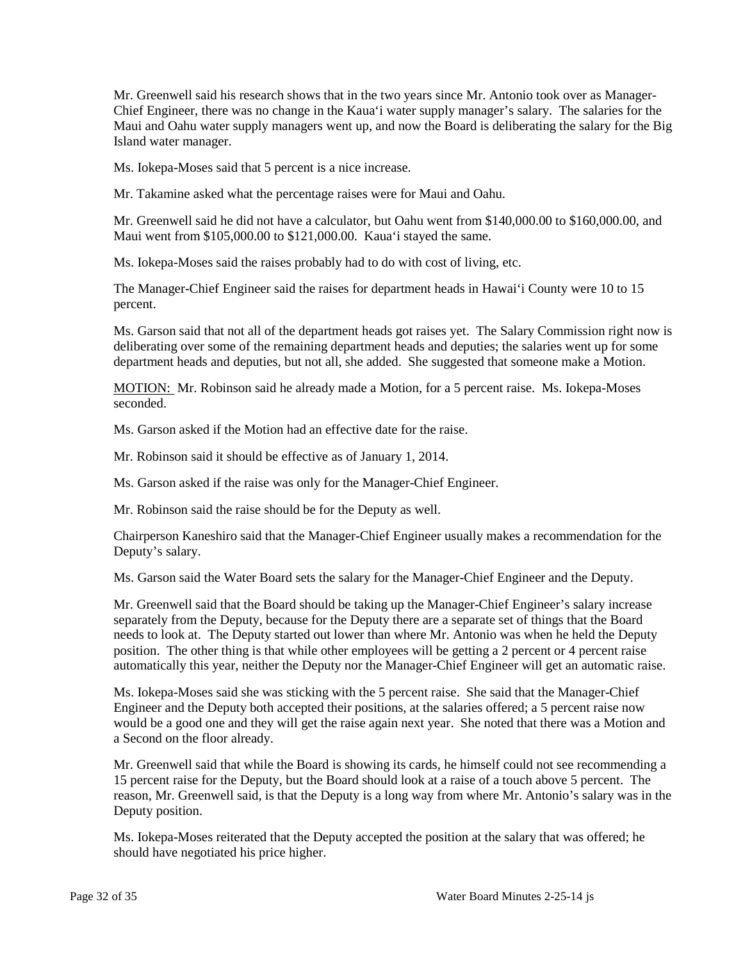Mr. Greenwell said his research shows that in the two years since Mr. Antonio took over as Manager-Chief Engineer, there was no change in the Kaua'i water supply manager's salary. The salaries for the Maui and Oahu water supply managers went up, and now the Board is deliberating the salary for the Big Island water manager.

Ms. Iokepa-Moses said that 5 percent is a nice increase.

Mr. Takamine asked what the percentage raises were for Maui and Oahu.

Mr. Greenwell said he did not have a calculator, but Oahu went from \$140,000.00 to \$160,000.00, and Maui went from \$105,000.00 to \$121,000.00. Kaua'i stayed the same.

Ms. Iokepa-Moses said the raises probably had to do with cost of living, etc.

The Manager-Chief Engineer said the raises for department heads in Hawai'i County were 10 to 15 percent.

Ms. Garson said that not all of the department heads got raises yet. The Salary Commission right now is deliberating over some of the remaining department heads and deputies; the salaries went up for some department heads and deputies, but not all, she added. She suggested that someone make a Motion.

MOTION: Mr. Robinson said he already made a Motion, for a 5 percent raise. Ms. Iokepa-Moses seconded.

Ms. Garson asked if the Motion had an effective date for the raise.

Mr. Robinson said it should be effective as of January 1, 2014.

Ms. Garson asked if the raise was only for the Manager-Chief Engineer.

Mr. Robinson said the raise should be for the Deputy as well.

Chairperson Kaneshiro said that the Manager-Chief Engineer usually makes a recommendation for the Deputy's salary.

Ms. Garson said the Water Board sets the salary for the Manager-Chief Engineer and the Deputy.

Mr. Greenwell said that the Board should be taking up the Manager-Chief Engineer's salary increase separately from the Deputy, because for the Deputy there are a separate set of things that the Board needs to look at. The Deputy started out lower than where Mr. Antonio was when he held the Deputy position. The other thing is that while other employees will be getting a 2 percent or 4 percent raise automatically this year, neither the Deputy nor the Manager-Chief Engineer will get an automatic raise.

Ms. Iokepa-Moses said she was sticking with the 5 percent raise. She said that the Manager-Chief Engineer and the Deputy both accepted their positions, at the salaries offered; a 5 percent raise now would be a good one and they will get the raise again next year. She noted that there was a Motion and a Second on the floor already.

Mr. Greenwell said that while the Board is showing its cards, he himself could not see recommending a 15 percent raise for the Deputy, but the Board should look at a raise of a touch above 5 percent. The reason, Mr. Greenwell said, is that the Deputy is a long way from where Mr. Antonio's salary was in the Deputy position.

Ms. Iokepa-Moses reiterated that the Deputy accepted the position at the salary that was offered; he should have negotiated his price higher.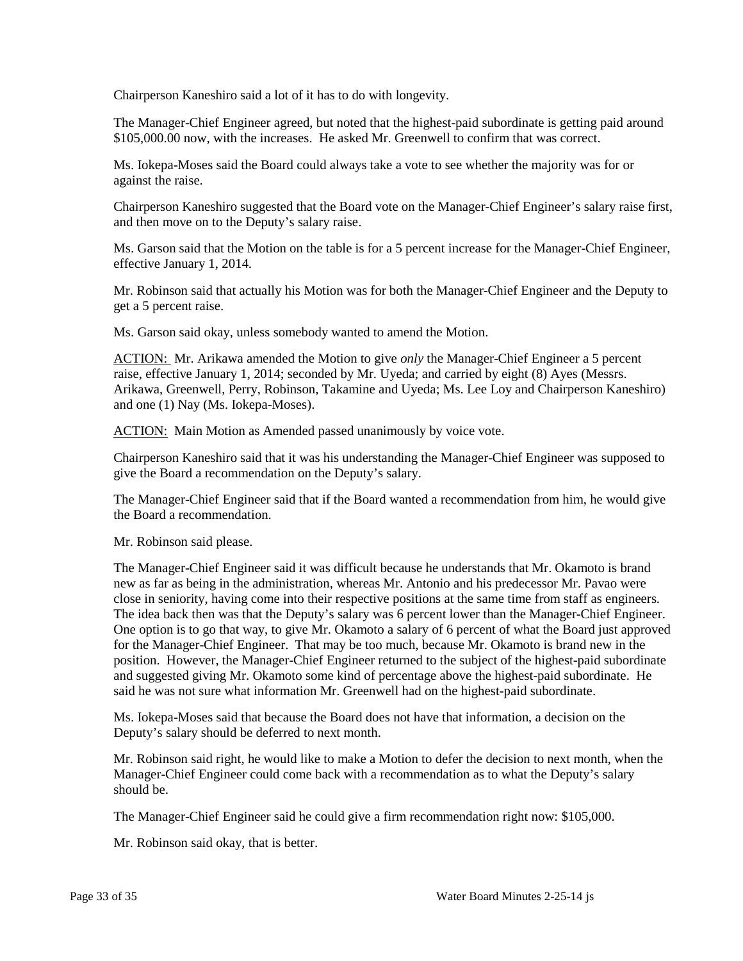Chairperson Kaneshiro said a lot of it has to do with longevity.

The Manager-Chief Engineer agreed, but noted that the highest-paid subordinate is getting paid around \$105,000.00 now, with the increases. He asked Mr. Greenwell to confirm that was correct.

Ms. Iokepa-Moses said the Board could always take a vote to see whether the majority was for or against the raise.

Chairperson Kaneshiro suggested that the Board vote on the Manager-Chief Engineer's salary raise first, and then move on to the Deputy's salary raise.

Ms. Garson said that the Motion on the table is for a 5 percent increase for the Manager-Chief Engineer, effective January 1, 2014.

Mr. Robinson said that actually his Motion was for both the Manager-Chief Engineer and the Deputy to get a 5 percent raise.

Ms. Garson said okay, unless somebody wanted to amend the Motion.

ACTION: Mr. Arikawa amended the Motion to give *only* the Manager-Chief Engineer a 5 percent raise, effective January 1, 2014; seconded by Mr. Uyeda; and carried by eight (8) Ayes (Messrs. Arikawa, Greenwell, Perry, Robinson, Takamine and Uyeda; Ms. Lee Loy and Chairperson Kaneshiro) and one (1) Nay (Ms. Iokepa-Moses).

ACTION: Main Motion as Amended passed unanimously by voice vote.

Chairperson Kaneshiro said that it was his understanding the Manager-Chief Engineer was supposed to give the Board a recommendation on the Deputy's salary.

The Manager-Chief Engineer said that if the Board wanted a recommendation from him, he would give the Board a recommendation.

Mr. Robinson said please.

The Manager-Chief Engineer said it was difficult because he understands that Mr. Okamoto is brand new as far as being in the administration, whereas Mr. Antonio and his predecessor Mr. Pavao were close in seniority, having come into their respective positions at the same time from staff as engineers. The idea back then was that the Deputy's salary was 6 percent lower than the Manager-Chief Engineer. One option is to go that way, to give Mr. Okamoto a salary of 6 percent of what the Board just approved for the Manager-Chief Engineer. That may be too much, because Mr. Okamoto is brand new in the position. However, the Manager-Chief Engineer returned to the subject of the highest-paid subordinate and suggested giving Mr. Okamoto some kind of percentage above the highest-paid subordinate. He said he was not sure what information Mr. Greenwell had on the highest-paid subordinate.

Ms. Iokepa-Moses said that because the Board does not have that information, a decision on the Deputy's salary should be deferred to next month.

Mr. Robinson said right, he would like to make a Motion to defer the decision to next month, when the Manager-Chief Engineer could come back with a recommendation as to what the Deputy's salary should be.

The Manager-Chief Engineer said he could give a firm recommendation right now: \$105,000.

Mr. Robinson said okay, that is better.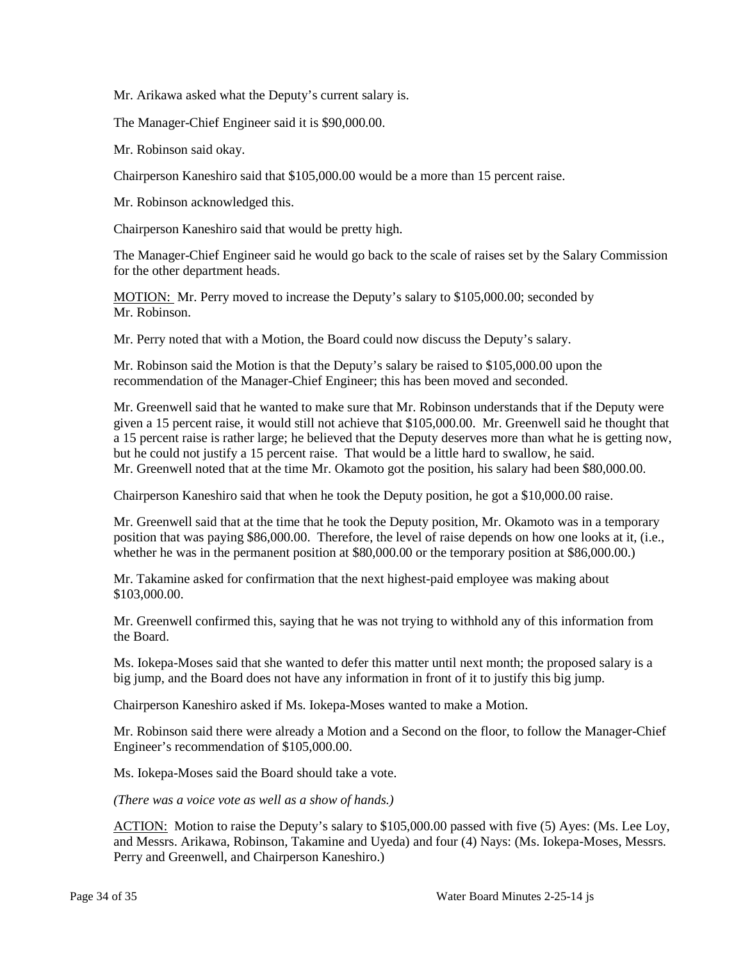Mr. Arikawa asked what the Deputy's current salary is.

The Manager-Chief Engineer said it is \$90,000.00.

Mr. Robinson said okay.

Chairperson Kaneshiro said that \$105,000.00 would be a more than 15 percent raise.

Mr. Robinson acknowledged this.

Chairperson Kaneshiro said that would be pretty high.

The Manager-Chief Engineer said he would go back to the scale of raises set by the Salary Commission for the other department heads.

MOTION: Mr. Perry moved to increase the Deputy's salary to \$105,000.00; seconded by Mr. Robinson.

Mr. Perry noted that with a Motion, the Board could now discuss the Deputy's salary.

Mr. Robinson said the Motion is that the Deputy's salary be raised to \$105,000.00 upon the recommendation of the Manager-Chief Engineer; this has been moved and seconded.

Mr. Greenwell said that he wanted to make sure that Mr. Robinson understands that if the Deputy were given a 15 percent raise, it would still not achieve that \$105,000.00. Mr. Greenwell said he thought that a 15 percent raise is rather large; he believed that the Deputy deserves more than what he is getting now, but he could not justify a 15 percent raise. That would be a little hard to swallow, he said. Mr. Greenwell noted that at the time Mr. Okamoto got the position, his salary had been \$80,000.00.

Chairperson Kaneshiro said that when he took the Deputy position, he got a \$10,000.00 raise.

Mr. Greenwell said that at the time that he took the Deputy position, Mr. Okamoto was in a temporary position that was paying \$86,000.00. Therefore, the level of raise depends on how one looks at it, (i.e., whether he was in the permanent position at \$80,000.00 or the temporary position at \$86,000.00.)

Mr. Takamine asked for confirmation that the next highest-paid employee was making about \$103,000.00.

Mr. Greenwell confirmed this, saying that he was not trying to withhold any of this information from the Board.

Ms. Iokepa-Moses said that she wanted to defer this matter until next month; the proposed salary is a big jump, and the Board does not have any information in front of it to justify this big jump.

Chairperson Kaneshiro asked if Ms. Iokepa-Moses wanted to make a Motion.

Mr. Robinson said there were already a Motion and a Second on the floor, to follow the Manager-Chief Engineer's recommendation of \$105,000.00.

Ms. Iokepa-Moses said the Board should take a vote.

*(There was a voice vote as well as a show of hands.)*

ACTION: Motion to raise the Deputy's salary to \$105,000.00 passed with five (5) Ayes: (Ms. Lee Loy, and Messrs. Arikawa, Robinson, Takamine and Uyeda) and four (4) Nays: (Ms. Iokepa-Moses, Messrs. Perry and Greenwell, and Chairperson Kaneshiro.)